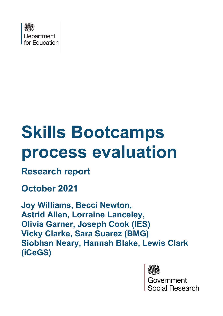

# **Skills Bootcamps process evaluation**

# **Research report**

# **October 2021**

**Joy Williams, Becci Newton, Astrid Allen, Lorraine Lanceley, Olivia Garner, Joseph Cook (IES) Vicky Clarke, Sara Suarez (BMG) Siobhan Neary, Hannah Blake, Lewis Clark (iCeGS)** 



Government ocial Research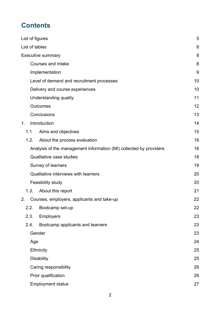# **Contents**

| List of figures |                                                                    | 5  |
|-----------------|--------------------------------------------------------------------|----|
| List of tables  |                                                                    | 6  |
|                 | <b>Executive summary</b>                                           | 8  |
|                 | <b>Courses and intake</b>                                          | 8  |
|                 | Implementation                                                     | 9  |
|                 | Level of demand and recruitment processes                          | 10 |
|                 | Delivery and course experiences                                    | 10 |
|                 | Understanding quality                                              | 11 |
|                 | <b>Outcomes</b>                                                    | 12 |
|                 | Conclusions                                                        | 13 |
| 1 <sub>1</sub>  | Introduction                                                       | 14 |
| 1.1             | Aims and objectives                                                | 15 |
| 1.2.            | About the process evaluation                                       | 16 |
|                 | Analysis of the management information (MI) collected by providers | 16 |
|                 | <b>Qualitative case studies</b>                                    | 18 |
|                 | Survey of learners                                                 | 19 |
|                 | Qualitative interviews with learners                               | 20 |
|                 | Feasibility study                                                  | 20 |
| 1.3.            | About this report                                                  | 21 |
| 2.              | Courses, employers, applicants and take-up                         | 22 |
| 2.2.            | Bootcamp set-up                                                    | 22 |
| 2.3.            | <b>Employers</b>                                                   | 23 |
| 2.4.            | Bootcamp applicants and learners                                   | 23 |
|                 | Gender                                                             | 23 |
| Age             |                                                                    | 24 |
|                 | <b>Ethnicity</b>                                                   | 25 |
|                 | <b>Disability</b>                                                  | 25 |
|                 | Caring responsibility                                              | 26 |
|                 | Prior qualification                                                | 26 |
|                 | <b>Employment status</b>                                           | 27 |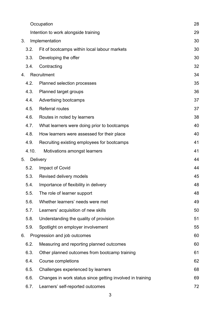|    |       | Occupation                                                | 28 |
|----|-------|-----------------------------------------------------------|----|
|    |       | Intention to work alongside training                      | 29 |
| 3. |       | Implementation                                            | 30 |
|    | 3.2.  | Fit of bootcamps within local labour markets              | 30 |
|    | 3.3.  | Developing the offer                                      | 30 |
|    | 3.4.  | Contracting                                               | 32 |
| 4. |       | Recruitment                                               | 34 |
|    | 4.2.  | Planned selection processes                               | 35 |
|    | 4.3.  | Planned target groups                                     | 36 |
|    | 4.4.  | Advertising bootcamps                                     | 37 |
|    | 4.5.  | <b>Referral routes</b>                                    | 37 |
|    | 4.6.  | Routes in noted by learners                               | 38 |
|    | 4.7.  | What learners were doing prior to bootcamps               | 40 |
|    | 4.8.  | How learners were assessed for their place                | 40 |
|    | 4.9.  | Recruiting existing employees for bootcamps               | 41 |
|    | 4.10. | Motivations amongst learners                              | 41 |
|    |       |                                                           |    |
| 5. |       | <b>Delivery</b>                                           | 44 |
|    | 5.2.  | Impact of Covid                                           | 44 |
|    | 5.3.  | Revised delivery models                                   | 45 |
|    | 5.4.  | Importance of flexibility in delivery                     | 48 |
|    | 5.5.  | The role of learner support                               | 48 |
|    | 5.6.  | Whether learners' needs were met                          | 49 |
|    | 5.7.  | Learners' acquisition of new skills                       | 50 |
|    | 5.8.  | Understanding the quality of provision                    | 51 |
|    | 5.9.  | Spotlight on employer involvement                         | 55 |
| 6. |       | Progression and job outcomes                              | 60 |
|    | 6.2.  | Measuring and reporting planned outcomes                  | 60 |
|    | 6.3.  | Other planned outcomes from bootcamp training             | 61 |
|    | 6.4.  | Course completions                                        | 62 |
|    | 6.5.  | Challenges experienced by learners                        | 68 |
|    | 6.6.  | Changes in work status since getting involved in training | 69 |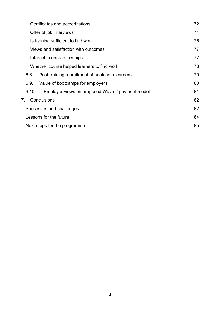| Certificates and accreditations                          | 72 |
|----------------------------------------------------------|----|
| Offer of job interviews                                  | 74 |
| Is training sufficient to find work                      | 76 |
| Views and satisfaction with outcomes                     | 77 |
| Interest in apprenticeships                              | 77 |
| Whether course helped learners to find work              | 78 |
| Post-training recruitment of bootcamp learners<br>6.8.   | 79 |
| Value of bootcamps for employers<br>6.9.                 | 80 |
| Employer views on proposed Wave 2 payment model<br>6.10. | 81 |
| Conclusions<br>7.                                        | 82 |
| Successes and challenges                                 | 82 |
| Lessons for the future                                   | 84 |
| Next steps for the programme                             | 85 |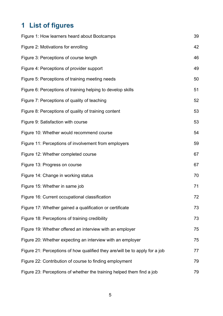# **1 List of figures**

| Figure 1: How learners heard about Bootcamps                                | 39 |
|-----------------------------------------------------------------------------|----|
| Figure 2: Motivations for enrolling                                         | 42 |
| Figure 3: Perceptions of course length                                      | 46 |
| Figure 4: Perceptions of provider support                                   | 49 |
| Figure 5: Perceptions of training meeting needs                             | 50 |
| Figure 6: Perceptions of training helping to develop skills                 | 51 |
| Figure 7: Perceptions of quality of teaching                                | 52 |
| Figure 8: Perceptions of quality of training content                        | 53 |
| Figure 9: Satisfaction with course                                          | 53 |
| Figure 10: Whether would recommend course                                   | 54 |
| Figure 11: Perceptions of involvement from employers                        | 59 |
| Figure 12: Whether completed course                                         | 67 |
| Figure 13: Progress on course                                               | 67 |
| Figure 14: Change in working status                                         | 70 |
| Figure 15: Whether in same job                                              | 71 |
| Figure 16: Current occupational classification                              | 72 |
| Figure 17: Whether gained a qualification or certificate                    | 73 |
| Figure 18: Perceptions of training credibility                              | 73 |
| Figure 19: Whether offered an interview with an employer                    | 75 |
| Figure 20: Whether expecting an interview with an employer                  | 75 |
| Figure 21: Perceptions of how qualified they are/will be to apply for a job | 77 |
| Figure 22: Contribution of course to finding employment                     | 79 |
| Figure 23: Perceptions of whether the training helped them find a job       | 79 |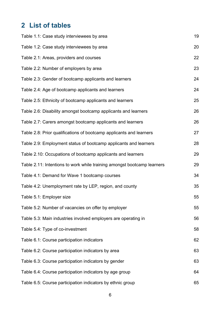# **2 List of tables**

| Table 1.1: Case study interviewees by area                              | 19 |
|-------------------------------------------------------------------------|----|
| Table 1.2: Case study interviewees by area                              | 20 |
| Table 2.1: Areas, providers and courses                                 | 22 |
| Table 2.2: Number of employers by area                                  | 23 |
| Table 2.3: Gender of bootcamp applicants and learners                   | 24 |
| Table 2.4: Age of bootcamp applicants and learners                      | 24 |
| Table 2.5: Ethnicity of bootcamp applicants and learners                | 25 |
| Table 2.6: Disability amongst bootcamp applicants and learners          | 26 |
| Table 2.7: Carers amongst bootcamp applicants and learners              | 26 |
| Table 2.8: Prior qualifications of bootcamp applicants and learners     | 27 |
| Table 2.9: Employment status of bootcamp applicants and learners        | 28 |
| Table 2.10: Occupations of bootcamp applicants and learners             | 29 |
| Table 2.11: Intentions to work while training amongst bootcamp learners | 29 |
| Table 4.1: Demand for Wave 1 bootcamp courses                           | 34 |
| Table 4.2: Unemployment rate by LEP, region, and county                 | 35 |
| Table 5.1: Employer size                                                | 55 |
| Table 5.2: Number of vacancies on offer by employer                     | 55 |
| Table 5.3: Main industries involved employers are operating in          | 56 |
| Table 5.4: Type of co-investment                                        | 58 |
| Table 6.1: Course participation indicators                              | 62 |
| Table 6.2: Course participation indicators by area                      | 63 |
| Table 6.3: Course participation indicators by gender                    | 63 |
| Table 6.4: Course participation indicators by age group                 | 64 |
| Table 6.5: Course participation indicators by ethnic group              | 65 |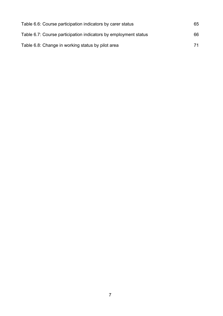| Table 6.6: Course participation indicators by carer status      | 65 |
|-----------------------------------------------------------------|----|
| Table 6.7: Course participation indicators by employment status | 66 |
| Table 6.8: Change in working status by pilot area               | 71 |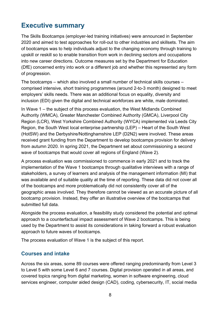## **Executive summary**

The Skills Bootcamps (employer-led training initiatives) were announced in September 2020 and aimed to test approaches for roll-out to other industries and skillsets. The aim of bootcamps was to help individuals adjust to the changing economy through training to upskill or reskill so to enable transition from work in declining sectors and occupations into new career directions. Outcome measures set by the Department for Education (DfE) concerned entry into work or a different job and whether this represented any form of progression.

The bootcamps – which also involved a small number of technical skills courses – comprised intensive, short training programmes (around 2-to-3 month) designed to meet employers' skills needs. There was an additional focus on equality, diversity and inclusion (EDI) given the digital and technical workforces are white, male dominated.

In Wave 1 – the subject of this process evaluation, the West Midlands Combined Authority (WMCA), Greater Manchester Combined Authority (GMCA), Liverpool City Region (LCR), West Yorkshire Combined Authority (WYCA) implemented via Leeds City Region, the South West local enterprise partnership (LEP) – Heart of the South West (HotSW) and the Derbyshire/Nottinghamshire LEP (D2N2) were involved. These areas received grant funding from the Department to develop bootcamps provision for delivery from autumn 2020. In spring 2021, the Department set about commissioning a second wave of bootcamps that would cover all regions of England (Wave 2).

A process evaluation was commissioned to commence in early 2021 and to track the implementation of the Wave 1 bootcamps through qualitative interviews with a range of stakeholders, a survey of learners and analysis of the management information (MI) that was available and of suitable quality at the time of reporting. These data did not cover all of the bootcamps and more problematically did not consistently cover all of the geographic areas involved. They therefore cannot be viewed as an accurate picture of all bootcamp provision. Instead, they offer an illustrative overview of the bootcamps that submitted full data.

Alongside the process evaluation, a feasibility study considered the potential and optimal approach to a counterfactual impact assessment of Wave 2 bootcamps. This is being used by the Department to assist its considerations in taking forward a robust evaluation approach to future waves of bootcamps.

The process evaluation of Wave 1 is the subject of this report.

#### **Courses and intake**

Across the six areas, some 89 courses were offered ranging predominantly from Level 3 to Level 5 with some Level 6 and 7 courses. Digital provision operated in all areas, and covered topics ranging from digital marketing, women in software engineering, cloud services engineer, computer aided design (CAD), coding, cybersecurity, IT, social media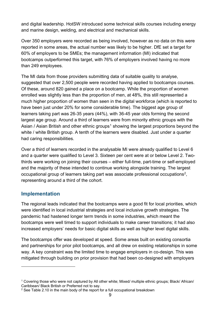and digital leadership. HotSW introduced some technical skills courses including energy and marine design, welding, and electrical and mechanical skills.

Over 350 employers were recorded as being involved, however as no data on this were reported in some areas, the actual number was likely to be higher. DfE set a target for 60% of employers to be SMEs; the management information (MI) indicated that bootcamps outperformed this target, with 76% of employers involved having no more than 249 employees.

The MI data from those providers submitting data of suitable quality to analyse, suggested that over 2,500 people were recorded having applied to bootcamps courses. Of these, around 820 gained a place on a bootcamp. While the proportion of women enrolled was slightly less than the proportion of men, at 48%, this still represented a much higher proportion of women than seen in the digital workforce (which is reported to have been just under 20% for some considerable time). The biggest age group of learners taking part was 26-35 years (44%), with 36-45 year olds forming the second largest age group. Around a third of learners were from minority ethnic groups with the Asian / Asian British and other ethnic groups<sup>[1](#page-8-0)</sup> showing the largest proportions beyond the white / white British group. A tenth of the learners were disabled. Just under a quarter had caring responsibilities.

Over a third of learners recorded in the analysable MI were already qualified to Level 6 and a quarter were qualified to Level 3. Sixteen per cent were at or below Level 2. Twothirds were working on joining their courses – either full-time, part-time or self-employed and the majority of these intended to continue working alongside training. The largest occupational group of learners taking part was associate professional occupations[2](#page-8-1), representing around a third of the cohort.

#### **Implementation**

The regional leads indicated that the bootcamps were a good fit for local priorities, which were identified in local industrial strategies and local inclusive growth strategies. The pandemic had hastened longer term trends in some industries, which meant the bootcamps were well timed to support individuals to make career transitions; it had also increased employers' needs for basic digital skills as well as higher level digital skills.

The bootcamps offer was developed at speed. Some areas built on existing consortia and partnerships for prior pilot bootcamps, and all drew on existing relationships in some way. A key constraint was the limited time to engage employers in co-design. This was mitigated through building on prior provision that had been co-designed with employers

<span id="page-8-0"></span><sup>1</sup> Covering those who were not captured by All other white; Mixed/ multiple ethnic groups; Black/ African/ Caribbean/ Black British or Preferred not to say.

<span id="page-8-1"></span> $2$  See Table 2.10 in the main body of the report for a full occupational breakdown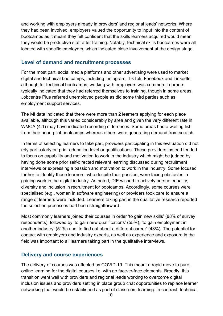and working with employers already in providers' and regional leads' networks. Where they had been involved, employers valued the opportunity to input into the content of bootcamps as it meant they felt confident that the skills learners acquired would mean they would be productive staff after training. Notably, technical skills bootcamps were all located with specific employers, which indicated close involvement at the design stage.

## **Level of demand and recruitment processes**

For the most part, social media platforms and other advertising were used to market digital and technical bootcamps, including Instagram, TikTok, Facebook and LinkedIn although for technical bootcamps, working with employers was common. Learners typically indicated that they had referred themselves to training, though in some areas, Jobcentre Plus referred unemployed people as did some third parties such as employment support services.

The MI data indicated that there were more than 2 learners applying for each place available, although this varied considerably by area and given the very different rate in WMCA (4:1) may have indicated recording differences. Some areas had a waiting list from their prior, pilot bootcamps whereas others were generating demand from scratch.

In terms of selecting learners to take part, providers participating in this evaluation did not rely particularly on prior education level or qualifications. These providers instead tended to focus on capability and motivation to work in the industry which might be judged by having done some prior self-directed relevant learning discussed during recruitment interviews or expressing a passion and motivation to work in the industry. Some focused further to identify those learners, who despite their passion, were facing obstacles in gaining work in the digital industry. As noted, DfE wished to actively pursue equality, diversity and inclusion in recruitment for bootcamps. Accordingly, some courses were specialised (e.g., women in software engineering) or providers took care to ensure a range of learners were included. Learners taking part in the qualitative research reported the selection processes had been straightforward.

Most commonly learners joined their courses in order 'to gain new skills' (88% of survey respondents), followed by 'to gain new qualifications' (55%), 'to gain employment in another industry' (51%) and 'to find out about a different career' (43%). The potential for contact with employers and industry experts, as well as experience and exposure in the field was important to all learners taking part in the qualitative interviews.

## **Delivery and course experiences**

The delivery of courses was affected by COVID-19. This meant a rapid move to pure, online learning for the digital courses i.e. with no face-to-face elements. Broadly, this transition went well with providers and regional leads working to overcome digital inclusion issues and providers setting in place group chat opportunities to replace learner networking that would be established as part of classroom learning. In contrast, technical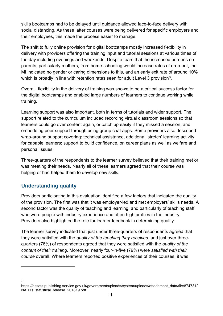skills bootcamps had to be delayed until guidance allowed face-to-face delivery with social distancing. As these latter courses were being delivered for specific employers and their employees, this made the process easier to manage.

The shift to fully online provision for digital bootcamps mostly increased flexibility in delivery with providers offering the training input and tutorial sessions at various times of the day including evenings and weekends. Despite fears that the increased burdens on parents, particularly mothers, from home-schooling would increase rates of drop-out, the MI indicated no gender or caring dimensions to this, and an early exit rate of around 10% which is broadly in line with retention rates seen for adult Level 3 provision<sup>3</sup>.

Overall, flexibility in the delivery of training was shown to be a critical success factor for the digital bootcamps and enabled large numbers of learners to continue working while training.

Learning support was also important, both in terms of tutorials and wider support. The support related to the curriculum included recording virtual classroom sessions so that learners could go over content again, or catch up easily if they missed a session, and embedding peer support through using group chat apps. Some providers also described wrap-around support covering: technical assistance, additional 'stretch' learning activity for capable learners; support to build confidence, on career plans as well as welfare and personal issues.

Three-quarters of the respondents to the learner survey believed that their training met or was meeting their needs. Nearly all of these learners agreed that their course was helping or had helped them to develop new skills.

## **Understanding quality**

3

Providers participating in this evaluation identified a few factors that indicated the quality of the provision. The first was that it was employer-led and met employers' skills needs. A second factor was the quality of teaching and learning, and particularly of teaching staff who were people with industry experience and often high profiles in the industry. Providers also highlighted the role for learner feedback in determining quality.

The learner survey indicated that just under three-quarters of respondents agreed that they were satisfied with the *quality of the teaching they received*, and just over threequarters (76%) of respondents agreed that they were satisfied with the *quality of the content of their training*. Moreover, nearly four-in-five (79%) were *satisfied with their course* overall. Where learners reported positive experiences of their courses, it was

<span id="page-10-0"></span>https://assets.publishing.service.gov.uk/government/uploads/system/uploads/attachment\_data/file/874731/ NARTs\_statistical\_release\_201819.pdf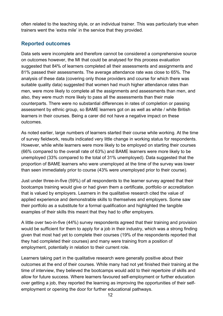often related to the teaching style, or an individual trainer. This was particularly true when trainers went the 'extra mile' in the service that they provided.

## **Reported outcomes**

Data sets were incomplete and therefore cannot be considered a comprehensive source on outcomes however, the MI that could be analysed for this process evaluation suggested that 84% of learners completed all their assessments and assignments and 81% passed their assessments. The average attendance rate was close to 65%. The analysis of these data (covering only those providers and course for which there was suitable quality data) suggested that women had much higher attendance rates than men, were more likely to complete all the assignments and assessments than men, and also, they were much more likely to pass all the assessments than their male counterparts. There were no substantial differences in rates of completion or passing assessment by ethnic group, so BAME learners got on as well as white / white British learners in their courses. Being a carer did not have a negative impact on these outcomes.

As noted earlier, large numbers of learners started their course while working. At the time of survey fieldwork, results indicated very little change in working status for respondents. However, while white learners were more likely to be employed on starting their courses (66% compared to the overall rate of 63%) and BAME learners were more likely to be unemployed (33% compared to the total of 31% unemployed). Data suggested that the proportion of BAME learners who were unemployed at the time of the survey was lower than seen immediately prior to course (43% were unemployed prior to their course).

Just under three-in-five (59%) of all respondents to the learner survey agreed that their bootcamps training would give or had given them a certificate, portfolio or accreditation that is valued by employers. Learners in the qualitative research cited the value of applied experience and demonstrable skills to themselves and employers. Some saw their portfolio as a substitute for a formal qualification and highlighted the tangible examples of their skills this meant that they had to offer employers.

A little over two-in-five (44%) survey respondents agreed that their training and provision would be sufficient for them to apply for a job in their industry, which was a strong finding given that most had yet to complete their courses (19% of the respondents reported that they had completed their courses) and many were training from a position of employment, potentially in relation to their current role.

Learners taking part in the qualitative research were generally positive about their outcomes at the end of their courses. While many had not yet finished their training at the time of interview, they believed the bootcamps would add to their repertoire of skills and allow for future success. Where learners favoured self-employment or further education over getting a job, they reported the learning as improving the opportunities of their selfemployment or opening the door for further educational pathways.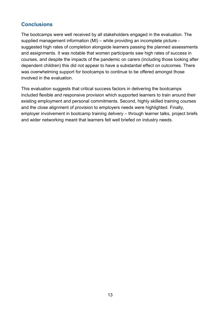## **Conclusions**

The bootcamps were well received by all stakeholders engaged in the evaluation. The supplied management information (MI) – while providing an incomplete picture suggested high rates of completion alongside learners passing the planned assessments and assignments. It was notable that women participants saw high rates of success in courses, and despite the impacts of the pandemic on carers (including those looking after dependent children) this did not appear to have a substantial effect on outcomes. There was overwhelming support for bootcamps to continue to be offered amongst those involved in the evaluation.

This evaluation suggests that critical success factors in delivering the bootcamps included flexible and responsive provision which supported learners to train around their existing employment and personal commitments. Second, highly skilled training courses and the close alignment of provision to employers needs were highlighted. Finally, employer involvement in bootcamp training delivery – through learner talks, project briefs and wider networking meant that learners felt well briefed on industry needs.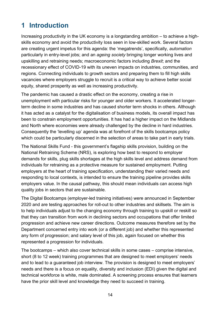# **1 Introduction**

Increasing productivity in the UK economy is a longstanding ambition – to achieve a highskills economy and avoid the productivity loss seen in low-skilled work. Several factors are creating urgent impetus for this agenda: the 'megatrends', specifically, *automation* particularly in entry-level jobs; and an *ageing society* bringing longer working lives and upskilling and retraining needs; macroeconomic factors including *Brexit*; and the recessionary effect of COVID-19 with its uneven impacts on industries, communities, and regions. Connecting individuals to growth sectors and preparing them to fill high skills vacancies where employers struggle to recruit is a critical way to achieve better social equity, shared prosperity as well as increasing productivity.

The pandemic has caused a drastic effect on the economy, creating a rise in unemployment with particular risks for younger and older workers. It accelerated longerterm decline in some industries and has caused shorter term shocks in others. Although it has acted as a catalyst for the digitalisation of business models, its overall impact has been to constrain employment opportunities. It has had a higher impact on the Midlands and North where economies were already challenged by the decline in hard industries. Consequently the 'levelling up' agenda was at forefront of the skills bootcamps policy which could be particularly discerned in the selection of areas to take part in early trials.

The National Skills Fund - this government's flagship skills provision, building on the National Retraining Scheme (NRS), is exploring how best to respond to employer demands for skills, plug skills shortages at the high skills level and address demand from individuals for retraining as a protective measure for sustained employment. Putting employers at the heart of training specification, understanding their varied needs and responding to local contexts, is intended to ensure the training pipeline provides skills employers value. In the causal pathway, this should mean individuals can access high quality jobs in sectors that are sustainable.

The Digital Bootcamps (employer-led training initiatives) were announced in September 2020 and are testing approaches for roll-out to other industries and skillsets. The aim is to help individuals adjust to the changing economy through training to upskill or reskill so that they can transition from work in declining sectors and occupations that offer limited progression and achieve new career directions. Outcome measures therefore set by the Department concerned entry into work (or a different job) and whether this represented any form of progression; and salary level of this job, again focused on whether this represented a progression for individuals.

The bootcamps – which also cover technical skills in some cases – comprise intensive, short (8 to 12 week) training programmes that are designed to meet employers' needs and to lead to a guaranteed job interview. The provision is designed to meet employers' needs and there is a focus on equality, diversity and inclusion (EDI) given the digital and technical workforce is white, male dominated. A screening process ensures that learners have the prior skill level and knowledge they need to succeed in training.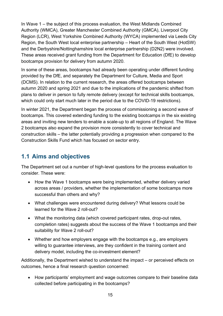In Wave 1 – the subject of this process evaluation, the West Midlands Combined Authority (WMCA), Greater Manchester Combined Authority (GMCA), Liverpool City Region (LCR), West Yorkshire Combined Authority (WYCA) implemented via Leeds City Region, the South West local enterprise partnership – Heart of the South West (HotSW) and the Derbyshire/Nottinghamshire local enterprise partnership (D2N2) were involved. These areas received grant funding from the Department for Education (DfE) to develop bootcamps provision for delivery from autumn 2020.

In some of these areas, bootcamps had already been operating under different funding provided by the DfE, and separately the Department for Culture, Media and Sport (DCMS). In relation to the current research, the areas offered bootcamps between autumn 2020 and spring 2021 and due to the implications of the pandemic shifted from plans to deliver in person to fully remote delivery (except for technical skills bootcamps, which could only start much later in the period due to the COVID-19 restrictions).

In winter 2021, the Department began the process of commissioning a second wave of bootcamps. This covered extending funding to the existing bootcamps in the six existing areas and inviting new tenders to enable a scale-up to all regions of England. The Wave 2 bootcamps also expand the provision more consistently to cover technical and construction skills – the latter potentially providing a progression when compared to the Construction Skills Fund which has focused on sector entry.

## **1.1 Aims and objectives**

The Department set out a number of high-level questions for the process evaluation to consider. These were:

- How the Wave 1 bootcamps were being implemented, whether delivery varied across areas / providers, whether the implementation of some bootcamps more successful than others and why?
- What challenges were encountered during delivery? What lessons could be learned for the Wave 2 roll-out?
- What the monitoring data (which covered participant rates, drop-out rates, completion rates) suggests about the success of the Wave 1 bootcamps and their suitability for Wave 2 roll-out?
- Whether and how employers engage with the bootcamps e.g., are employers willing to guarantee interviews, are they confident in the training content and delivery model, including the co-investment element?

Additionally, the Department wished to understand the impact – or perceived effects on outcomes, hence a final research question concerned:

• How participants' employment and wage outcomes compare to their baseline data collected before participating in the bootcamps?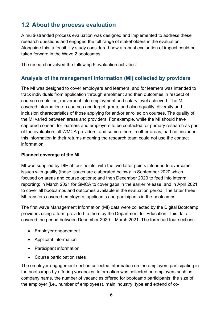## **1.2 About the process evaluation**

A multi-stranded process evaluation was designed and implemented to address these research questions and engaged the full range of stakeholders in the evaluation. Alongside this, a feasibility study considered how a robust evaluation of impact could be taken forward in the Wave 2 bootcamps.

The research involved the following 5 evaluation activities:

#### **Analysis of the management information (MI) collected by providers**

The MI was designed to cover employers and learners, and for learners was intended to track individuals from application through enrolment and then outcomes in respect of course completion, movement into employment and salary level achieved. The MI covered information on courses and target group, and also equality, diversity and inclusion characteristics of those applying for and/or enrolled on courses. The quality of the MI varied between areas and providers. For example, while the MI should have captured consent for learners and employers to be contacted for primary research as part of the evaluation, all WMCA providers, and some others in other areas, had not included this information in their returns meaning the research team could not use the contact information.

#### **Planned coverage of the MI**

MI was supplied by DfE at four points, with the two latter points intended to overcome issues with quality (these issues are elaborated below): in September 2020 which focused on areas and course options; and then December 2020 to feed into interim reporting; in March 2021 for GMCA to cover gaps in the earlier release; and in April 2021 to cover all bootcamps and outcomes available in the evaluation period. The latter three MI transfers covered employers, applicants and participants in the bootcamps.

The first wave Management Information (MI) data were collected by the Digital Bootcamp providers using a form provided to them by the Department for Education. This data covered the period between December 2020 – March 2021. The form had four sections:

- Employer engagement
- Applicant information
- Participant information
- Course participation rates

The employer engagement section collected information on the employers participating in the bootcamps by offering vacancies. Information was collected on employers such as company name, the number of vacancies offered for bootcamp participants, the size of the employer (i.e., number of employees), main industry, type and extend of co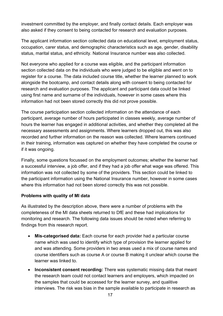investment committed by the employer, and finally contact details. Each employer was also asked if they consent to being contacted for research and evaluation purposes.

The applicant information section collected data on educational level, employment status, occupation, carer status, and demographic characteristics such as age, gender, disability status, marital status, and ethnicity. National Insurance number was also collected.

Not everyone who applied for a course was eligible, and the participant information section collected data on the individuals who were judged to be eligible and went on to register for a course. The data included course title, whether the learner planned to work alongside the bootcamp, and contact details along with consent to being contacted for research and evaluation purposes. The applicant and participant data could be linked using first name and surname of the individuals, however in some cases where this information had not been stored correctly this did not prove possible.

The course participation section collected information on the attendance of each participant, average number of hours participated in classes weekly, average number of hours the learner has engaged in additional activities, and whether they completed all the necessary assessments and assignments. Where learners dropped out, this was also recorded and further information on the reason was collected. Where learners continued in their training, information was captured on whether they have completed the course or if it was ongoing.

Finally, some questions focussed on the employment outcomes; whether the learner had a successful interview, a job offer, and if they had a job offer what wage was offered. This information was not collected by some of the providers. This section could be linked to the participant information using the National Insurance number, however in some cases where this information had not been stored correctly this was not possible.

#### **Problems with quality of MI data**

As illustrated by the description above, there were a number of problems with the completeness of the MI data sheets returned to DfE and these had implications for monitoring and research. The following data issues should be noted when referring to findings from this research report.

- **Mis-categorised data:** Each course for each provider had a particular course name which was used to identify which type of provision the learner applied for and was attending. Some providers in two areas used a mix of course names and course identifiers such as course A or course B making it unclear which course the learner was linked to.
- **Inconsistent consent recording:** There was systematic missing data that meant the research team could not contact learners and employers, which impacted on the samples that could be accessed for the learner survey, and qualitive interviews. The risk was bias in the sample available to participate in research as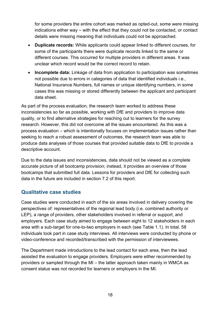for some providers the entire cohort was marked as opted-out, some were missing indications either way – with the effect that they could not be contacted, or contact details were missing meaning that individuals could not be approached.

- **Duplicate records:** While applicants could appear linked to different courses, for some of the participants there were duplicate records linked to the same or different courses. This occurred for multiple providers in different areas. It was unclear which record would be the correct record to retain.
- **Incomplete data:** Linkage of data from application to participation was sometimes not possible due to errors in categories of data that identified individuals i.e., National Insurance Numbers, full names or unique identifying numbers, in some cases this was missing or stored differently between the applicant and participant data sheet.

As part of the process evaluation, the research team worked to address these inconsistencies so far as possible, working with DfE and providers to improve data quality, or to find alternative strategies for reaching out to learners for the survey research. However, this did not overcome all the issues encountered. As this was a process evaluation – which is intentionally focuses on implementation issues rather than seeking to reach a robust assessment of outcomes, the research team was able to produce data analyses of those courses that provided suitable data to DfE to provide a descriptive account.

Due to the data issues and inconsistencies, data should not be viewed as a complete accurate picture of all bootcamp provision; instead, it provides an overview of those bootcamps that submitted full data. Lessons for providers and DfE for collecting such data in the future are included in section 7.2 of this report.

#### **Qualitative case studies**

Case studies were conducted in each of the six areas involved in delivery covering the perspectives of: representatives of the regional lead body (i.e. combined authority or LEP), a range of providers, other stakeholders involved in referral or support, and employers. Each case study aimed to engage between eight to 12 stakeholders in each area with a sub-target for one-to-two employers in each (see Table 1.1). In total, 58 individuals took part in case study interviews. All interviews were conducted by phone or video-conference and recorded/transcribed with the permission of interviewees.

The Department made introductions to the lead contact for each area, then the lead assisted the evaluation to engage providers. Employers were either recommended by providers or sampled through the MI – the latter approach taken mainly in WMCA as consent status was not recorded for learners or employers in the MI.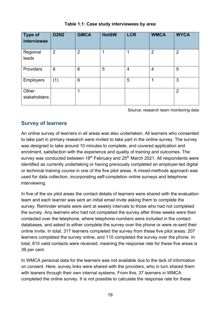| <b>Type of</b><br>interviewee | <b>D2N2</b>    | <b>GMCA</b>    | <b>HotSW</b> | <b>LCR</b>     | <b>WMCA</b>    | <b>WYCA</b>    |
|-------------------------------|----------------|----------------|--------------|----------------|----------------|----------------|
| Regional<br>leads             | $\overline{2}$ | $\overline{2}$ | 1            | 4              | $\overline{2}$ | $\overline{2}$ |
| Providers                     | 6              | 6              | 5            | $\overline{4}$ | $\overline{4}$ | 5              |
| <b>Employers</b>              | (1)            | 6              |              | 5              |                | 3              |
| Other<br>stakeholders         |                |                |              |                |                | $\overline{2}$ |

**Table 1.1: Case study interviewees by area**

Source: research team monitoring data

## **Survey of learners**

An online survey of learners in all areas was also undertaken. All learners who consented to take part in primary research were invited to take part in the online survey. The survey was designed to take around 10 minutes to complete, and covered application and enrolment, satisfaction with the experience and quality of training and outcomes. The survey was conducted between  $18<sup>th</sup>$  February and  $25<sup>th</sup>$  March 2021. All respondents were identified as currently undertaking or having previously completed an employer-led digital or technical training course in one of the five pilot areas. A mixed-methods approach was used for data collection, incorporating self-completion online surveys and telephone interviewing.

In five of the six pilot areas the contact details of learners were shared with the evaluation team and each learner was sent an initial email invite asking them to complete the survey. Reminder emails were sent at weekly intervals to those who had not completed the survey. Any learners who had not completed the survey after three weeks were then contacted over the telephone, where telephone numbers were included in the contact databases, and asked to either complete the survey over the phone or were re-sent their online invite. In total, 317 learners completed the survey from these five pilot areas; 207 learners completed the survey online, and 110 completed the survey over the phone. In total, 815 valid contacts were received, meaning the response rate for these five areas is 39 per cent.

In WMCA personal data for the learners was not available due to the lack of information on consent. Here, survey links were shared with the providers, who in turn shared them with leaners through their own internal systems. From this, 37 learners in WMCA completed the online survey. It is not possible to calculate the response rate for these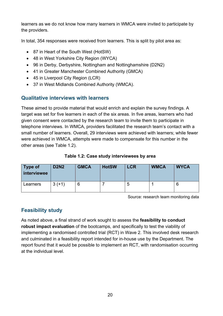learners as we do not know how many learners in WMCA were invited to participate by the providers.

In total, 354 responses were received from learners. This is split by pilot area as:

- 87 in Heart of the South West (HotSW)
- 48 in West Yorkshire City Region (WYCA)
- 96 in Derby, Derbyshire, Nottingham and Nottinghamshire (D2N2)
- 41 in Greater Manchester Combined Authority (GMCA)
- 45 in Liverpool City Region (LCR)
- 37 in West Midlands Combined Authority (WMCA).

## **Qualitative interviews with learners**

These aimed to provide material that would enrich and explain the survey findings. A target was set for five learners in each of the six areas. In five areas, learners who had given consent were contacted by the research team to invite them to participate in telephone interviews. In WMCA, providers facilitated the research team's contact with a small number of learners. Overall, 29 interviews were achieved with learners; while fewer were achieved in WMCA, attempts were made to compensate for this number in the other areas (see Table 1.2).

| Table 1.2: Case study interviewees by area |  |  |
|--------------------------------------------|--|--|
|--------------------------------------------|--|--|

| <b>Type of</b><br><i>interviewee</i> | <b>D2N2</b> | <b>GMCA</b> | <b>HotSW</b> | <b>LCR</b> | <b>WMCA</b> | <b>WYCA</b> |
|--------------------------------------|-------------|-------------|--------------|------------|-------------|-------------|
| Learners                             | $3(+1)$     | b           |              | N          |             |             |

Source: research team monitoring data

## **Feasibility study**

As noted above, a final strand of work sought to assess the **feasibility to conduct robust impact evaluation** of the bootcamps, and specifically to test the viability of implementing a randomised controlled trial (RCT) in Wave 2. This involved desk research and culminated in a feasibility report intended for in-house use by the Department. The report found that it would be possible to implement an RCT, with randomisation occurring at the individual level.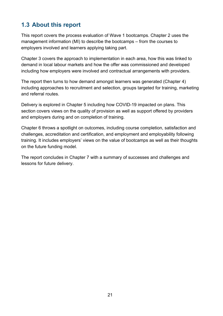## **1.3 About this report**

This report covers the process evaluation of Wave 1 bootcamps. Chapter 2 uses the management information (MI) to describe the bootcamps – from the courses to employers involved and learners applying taking part.

Chapter 3 covers the approach to implementation in each area, how this was linked to demand in local labour markets and how the offer was commissioned and developed including how employers were involved and contractual arrangements with providers.

The report then turns to how demand amongst learners was generated (Chapter 4) including approaches to recruitment and selection, groups targeted for training, marketing and referral routes.

Delivery is explored in Chapter 5 including how COVID-19 impacted on plans. This section covers views on the quality of provision as well as support offered by providers and employers during and on completion of training.

Chapter 6 throws a spotlight on outcomes, including course completion, satisfaction and challenges, accreditation and certification, and employment and employability following training. It includes employers' views on the value of bootcamps as well as their thoughts on the future funding model.

The report concludes in Chapter 7 with a summary of successes and challenges and lessons for future delivery.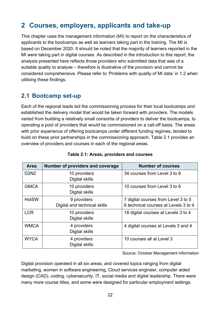# **2 Courses, employers, applicants and take-up**

This chapter uses the management information (MI) to report on the characteristics of applicants to the bootcamps as well as learners taking part in the training. The MI is based on December 2020. It should be noted that the majority of learners reported in the MI were taking part in digital courses. As described in the introduction to this report, the analysis presented here reflects those providers who submitted data that was of a suitable quality to analyse – therefore is illustrative of the provision and cannot be considered comprehensive. Please refer to 'Problems with quality of MI data' in 1.2 when utilising these findings.

## **2.1 Bootcamp set-up**

Each of the regional leads led the commissioning process for their local bootcamps and established the delivery model that would be taken forward with providers. The models varied from building a relatively small consortia of providers to deliver the bootcamps, to operating a pool of providers that would be commissioned on a call-off basis. The areas with prior experience of offering bootcamps under different funding regimes, tended to build on these prior partnerships in the commissioning approach. Table 2.1 provides an overview of providers and courses in each of the regional areas.

| Area         | Number of providers and coverage            | <b>Number of courses</b>                                                    |
|--------------|---------------------------------------------|-----------------------------------------------------------------------------|
| <b>D2N2</b>  | 10 providers<br>Digital skills              | 34 courses from Level 3 to 6                                                |
| <b>GMCA</b>  | 10 providers<br>Digital skills              | 10 courses from Level 3 to 6                                                |
| <b>HotSW</b> | 9 providers<br>Digital and technical skills | 7 digital courses from Level 3 to 5<br>6 technical courses at Levels 3 to 4 |
| <b>LCR</b>   | 10 providers<br><b>Digital skills</b>       | 18 digital courses at Levels 3 to 4                                         |
| <b>WMCA</b>  | 4 providers<br>Digital skills               | 4 digital courses at Levels 3 and 4                                         |
| <b>WYCA</b>  | 4 providers<br>Digital skills               | 10 courses all at Level 3                                                   |

Source: October Management information

Digital provision operated in all six areas, and covered topics ranging from digital marketing, women in software engineering, Cloud services engineer, computer aided design (CAD), coding, cybersecurity, IT, social media and digital leadership. There were many more course titles, and some were designed for particular employment settings.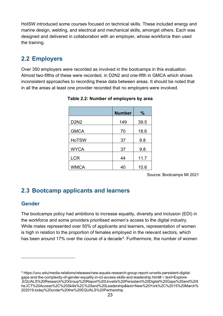HotSW introduced some courses focused on technical skills. These included energy and marine design, welding, and electrical and mechanical skills, amongst others. Each was designed and delivered in collaboration with an employer, whose workforce then used the training.

## **2.2 Employers**

Over 350 employers were recorded as involved in the bootcamps in this evaluation. Almost two-fifths of these were recorded, in D2N2 and one-fifth in GMCA which shows inconsistent approaches to recording these data between areas. It should be noted that in all the areas at least one provider recorded that no employers were involved.

|              | <b>Number</b> | $\frac{9}{6}$ |
|--------------|---------------|---------------|
| <b>D2N2</b>  | 149           | 39.5          |
| <b>GMCA</b>  | 70            | 18.6          |
| <b>HoTSW</b> | 37            | 9.8           |
| <b>WYCA</b>  | 37            | 9.8           |
| <b>LCR</b>   | 44            | 11.7          |
| <b>WMCA</b>  | 40            | 10.6          |

**Table 2.2: Number of employers by area**

Source: Bootcamps MI 2021

## **2.3 Bootcamp applicants and learners**

## **Gender**

The bootcamps policy had ambitions to increase equality, diversity and inclusion (EDI) in the workforce and some providers prioritised women's access to the digital industry. While males represented over 50% of applicants and learners, representation of women is high in relation to the proportion of females employed in the relevant sectors, which has been around 17% over the course of a decade<sup>[4](#page-22-0)</sup>. Furthermore, the number of women

<span id="page-22-0"></span><sup>4</sup> https://unu.edu/media-relations/releases/new-equals-research-group-report-unveils-persistent-digitalgaps-and-the-complexity-of-gender-equality-in-ict-access-skills-and-leadership.html#:~:text=Explore- ,EQUALS%20Research%20Group%20Report%20Unveils%20Persistent%20Digital%20Gaps%20and%20t he,ICT%20Access%2C%20Skills%2C%20and%20Leadership&text=New%20York%2C%2015%20March% 202019,today%20under%20the%20EQUALS%20Partnership.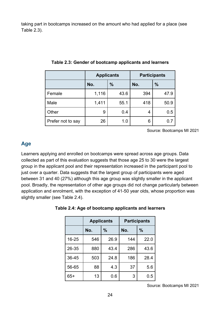taking part in bootcamps increased on the amount who had applied for a place (see Table 2.3).

|                   | <b>Applicants</b> |               | <b>Participants</b> |               |
|-------------------|-------------------|---------------|---------------------|---------------|
|                   | No.               | $\frac{0}{0}$ | No.                 | $\frac{0}{0}$ |
| Female            | 1,116             | 43.6          | 394                 | 47.9          |
| Male              | 1,411             | 55.1          | 418                 | 50.9          |
| Other             | 9                 | 0.4           | 4                   | 0.5           |
| Prefer not to say | 26                | 1.0           | 6                   |               |

| Table 2.3: Gender of bootcamp applicants and learners |  |
|-------------------------------------------------------|--|
|-------------------------------------------------------|--|

Source: Bootcamps MI 2021

#### **Age**

Learners applying and enrolled on bootcamps were spread across age groups. Data collected as part of this evaluation suggests that those age 25 to 30 were the largest group in the applicant pool and their representation increased in the participant pool to just over a quarter. Data suggests that the largest group of participants were aged between 31 and 40 (27%) although this age group was slightly smaller in the applicant pool. Broadly, the representation of other age groups did not change particularly between application and enrolment, with the exception of 41-50 year olds, whose proportion was slightly smaller (see Table 2.4).

|       | <b>Applicants</b> |      |     | <b>Participants</b> |
|-------|-------------------|------|-----|---------------------|
|       | No.               | %    | No. | $\frac{0}{0}$       |
| 16-25 | 546               | 26.9 | 144 | 22.0                |
| 26-35 | 880               | 43.4 | 286 | 43.6                |
| 36-45 | 503               | 24.8 | 186 | 28.4                |
| 56-65 | 88                | 4.3  | 37  | 5.6                 |
| $65+$ | 13                | 0.6  | 3   | 0.5                 |

#### **Table 2.4: Age of bootcamp applicants and learners**

Source: Bootcamps MI 2021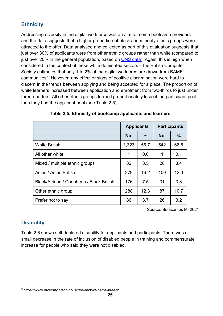## **Ethnicity**

Addressing diversity in the digital workforce was an aim for some bootcamp providers and the data suggests that a higher proportion of black and minority ethnic groups were attracted to the offer. Data analysed and collected as part of this evaluation suggests that just over 30% of applicants were from other ethnic groups rather than white (compared to just over 20% in the general population, based on [ONS data\)](https://www.ons.gov.uk/peoplepopulationandcommunity/populationandmigration/populationestimates/articles/researchreportonpopulationestimatesbyethnicgroupandreligion/2019-12-04). Again, this is high when considered in the context of these white dominated sectors – the British Computer Society estimates that only 1 to 2% of the digital workforce are drawn from BAME communities<sup>[5](#page-24-0)</sup>. However, any effect or signs of positive discrimination were hard to discern in the trends between applying and being accepted for a place. The proportion of white learners increased between application and enrolment from two-thirds to just under three-quarters. All other ethnic groups formed proportionately less of the participant pool than they had the applicant pool (see Table 2.5).

|                                           | <b>Applicants</b> |      | <b>Participants</b> |               |
|-------------------------------------------|-------------------|------|---------------------|---------------|
|                                           | No.               | $\%$ | No.                 | $\frac{0}{0}$ |
| <b>White British</b>                      | 1,323             | 56.7 | 542                 | 66.5          |
| All other white                           | 1                 | 0.0  | 1                   | 0.1           |
| Mixed / multiple ethnic groups            | 82                | 3.5  | 28                  | 3.4           |
| Asian / Asian British                     | 379               | 16.2 | 100                 | 12.3          |
| Black/African / Caribbean / Black British | 176               | 7.5  | 31                  | 3.8           |
| Other ethnic group                        | 288               | 12.3 | 87                  | 10.7          |
| Prefer not to say                         | 86                | 3.7  | 26                  | 3.2           |

#### **Table 2.5: Ethnicity of bootcamp applicants and learners**

Source: Bootcamps MI 2021

## **Disability**

Table 2.6 shows self-declared disability for applicants and participants. There was a small decrease in the rate of inclusion of disabled people in training and commensurate increase for people who said they were not disabled.

<span id="page-24-0"></span><sup>5</sup> https://www.diversityintech.co.uk/the-lack-of-bame-in-tech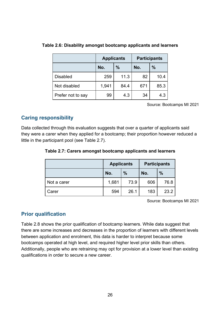|                   | <b>Applicants</b> |               |     | <b>Participants</b> |
|-------------------|-------------------|---------------|-----|---------------------|
|                   | No.               | $\frac{0}{0}$ | No. | $\frac{9}{6}$       |
| <b>Disabled</b>   | 259               | 11.3          | 82  | 10.4                |
| Not disabled      | 1,941             | 84.4          | 671 | 85.3                |
| Prefer not to say | 99                | 4.3           | 34  | 4.3                 |

#### **Table 2.6: Disability amongst bootcamp applicants and learners**

Source: Bootcamps MI 2021

## **Caring responsibility**

Data collected through this evaluation suggests that over a quarter of applicants said they were a carer when they applied for a bootcamp; their proportion however reduced a little in the participant pool (see Table 2.7).

|  |  |  |  | Table 2.7: Carers amongst bootcamp applicants and learners |  |  |
|--|--|--|--|------------------------------------------------------------|--|--|
|--|--|--|--|------------------------------------------------------------|--|--|

|             | <b>Participants</b><br><b>Applicants</b> |      |     |               |
|-------------|------------------------------------------|------|-----|---------------|
|             | $\frac{0}{0}$<br>No.                     |      | No. | $\frac{0}{0}$ |
| Not a carer | 1,681                                    | 73.9 | 606 | 76.8          |
| Carer       | 594                                      | 26.1 | 183 | 23.2          |

Source: Bootcamps MI 2021

## **Prior qualification**

Table 2.8 shows the prior qualification of bootcamp learners. While data suggest that there are some increases and decreases in the proportion of learners with different levels between application and enrolment, this data is harder to interpret because some bootcamps operated at high level, and required higher level prior skills than others. Additionally, people who are retraining may opt for provision at a lower level than existing qualifications in order to secure a new career.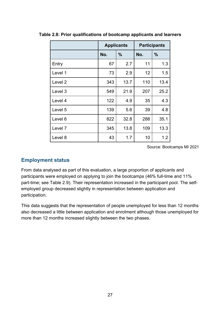|                    | <b>Applicants</b> |               | <b>Participants</b> |               |
|--------------------|-------------------|---------------|---------------------|---------------|
|                    | No.               | $\frac{9}{6}$ | No.                 | $\frac{9}{6}$ |
| Entry              | 67                | 2.7           | 11                  | 1.3           |
| Level 1            | 73                | 2.9           | 12                  | 1.5           |
| Level <sub>2</sub> | 343               | 13.7          | 110                 | 13.4          |
| Level 3            | 549               | 21.9          | 207                 | 25.2          |
| Level 4            | 122               | 4.9           | 35                  | 4.3           |
| Level 5            | 139               | 5.6           | 39                  | 4.8           |
| Level 6            | 822               | 32.8          | 288                 | 35.1          |
| Level 7            | 345               | 13.8          | 109                 | 13.3          |
| Level 8            | 43                | 1.7           | 10                  | 1.2           |

**Table 2.8: Prior qualifications of bootcamp applicants and learners**

Source: Bootcamps MI 2021

#### **Employment status**

From data analysed as part of this evaluation, a large proportion of applicants and participants were employed on applying to join the bootcamps (46% full-time and 11% part-time; see Table 2.9). Their representation increased in the participant pool. The selfemployed group decreased slightly in representation between application and participation.

This data suggests that the representation of people unemployed for less than 12 months also decreased a little between application and enrolment although those unemployed for more than 12 months increased slightly between the two phases.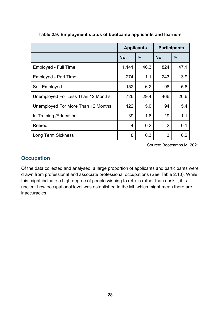|                                    | <b>Applicants</b> |               | <b>Participants</b> |               |
|------------------------------------|-------------------|---------------|---------------------|---------------|
|                                    | No.               | $\frac{0}{0}$ | No.                 | $\frac{9}{6}$ |
| <b>Employed - Full Time</b>        | 1,141             | 46.3          | 824                 | 47.1          |
| <b>Employed - Part Time</b>        | 274               | 11.1          | 243                 | 13.9          |
| Self Employed                      | 152               | 6.2           | 98                  | 5.6           |
| Unemployed For Less Than 12 Months | 726               | 29.4          | 466                 | 26.6          |
| Unemployed For More Than 12 Months | 122               | 5.0           | 94                  | 5.4           |
| In Training / Education            | 39                | 1.6           | 19                  | 1.1           |
| <b>Retired</b>                     | 4                 | 0.2           | $\overline{2}$      | 0.1           |
| <b>Long Term Sickness</b>          | 8                 | 0.3           | 3                   | 0.2           |

**Table 2.9: Employment status of bootcamp applicants and learners**

Source: Bootcamps MI 2021

#### **Occupation**

Of the data collected and analysed, a large proportion of applicants and participants were drawn from professional and associate professional occupations (See Table 2.10). While this might indicate a high degree of people wishing to retrain rather than upskill, it is unclear how occupational level was established in the MI, which might mean there are inaccuracies.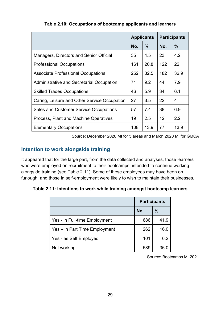|                                               | <b>Applicants</b> |               | <b>Participants</b> |               |
|-----------------------------------------------|-------------------|---------------|---------------------|---------------|
|                                               | No.               | $\frac{0}{0}$ | No.                 | $\frac{0}{0}$ |
| Managers, Directors and Senior Official       | 35                | 4.5           | 23                  | 4.2           |
| <b>Professional Occupations</b>               | 161               | 20.8          | 122                 | 22            |
| <b>Associate Professional Occupations</b>     | 252               | 32.5          | 182                 | 32.9          |
| Administrative and Secretarial Occupation     | 71                | 9.2           | 44                  | 7.9           |
| <b>Skilled Trades Occupations</b>             | 46                | 5.9           | 34                  | 6.1           |
| Caring, Leisure and Other Service Occupation  | 27                | 3.5           | 22                  | 4             |
| <b>Sales and Customer Service Occupations</b> | 57                | 7.4           | 38                  | 6.9           |
| Process, Plant and Machine Operatives         | 19                | 2.5           | 12                  | 2.2           |
| <b>Elementary Occupations</b>                 | 108               | 13.9          | 77                  | 13.9          |

**Table 2.10: Occupations of bootcamp applicants and learners**

Source: December 2020 MI for 5 areas and March 2020 MI for GMCA

## **Intention to work alongside training**

It appeared that for the large part, from the data collected and analyses, those learners who were employed on recruitment to their bootcamps, intended to continue working alongside training (see Table 2.11). Some of these employees may have been on furlough, and those in self-employment were likely to wish to maintain their businesses.

**Table 2.11: Intentions to work while training amongst bootcamp learners**

|                               | <b>Participants</b> |               |  |
|-------------------------------|---------------------|---------------|--|
|                               | No.                 | $\frac{0}{0}$ |  |
| Yes - in Full-time Employment | 686                 | 41.9          |  |
| Yes – in Part Time Employment | 262                 | 16.0          |  |
| Yes - as Self Employed        | 101                 | 6.2           |  |
| Not working                   | 589                 | 36.0          |  |

Source: Bootcamps MI 2021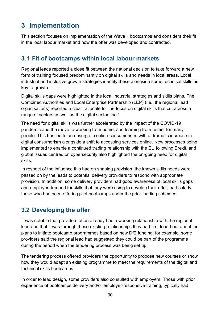# **3 Implementation**

This section focuses on implementation of the Wave 1 bootcamps and considers their fit in the local labour market and how the offer was developed and contracted.

## **3.1 Fit of bootcamps within local labour markets**

Regional leads reported a close fit between the national decision to take forward a new form of training focused predominantly on digital skills and needs in local areas. Local industrial and inclusive growth strategies identify these alongside some technical skills as key to growth.

Digital skills gaps were highlighted in the local industrial strategies and skills plans. The Combined Authorities and Local Enterprise Partnership (LEP) (i.e., the regional lead organisations) reported a clear rationale for the focus on digital skills that cut across a range of sectors as well as the digital sector itself.

The need for digital skills was further accelerated by the impact of the COVID-19 pandemic and the move to working from home, and learning from home, for many people. This has led to an upsurge in online consumerism, with a dramatic increase in digital consumerism alongside a shift to accessing services online. New processes being implemented to enable a continued trading relationship with the EU following Brexit, and global issues centred on cybersecurity also highlighted the on-going need for digital skills.

In respect of the influence this had on shaping provision, the known skills needs were passed on by the leads to potential delivery providers to respond with appropriate provision. In addition, some delivery providers had good awareness of local skills gaps and employer demand for skills that they were using to develop their offer, particularly those who had been offering pilot bootcamps under the prior funding schemes.

## **3.2 Developing the offer**

It was notable that providers often already had a working relationship with the regional lead and that it was through these existing relationships they had first found out about the plans to initiate bootcamp programmes based on new DfE funding; for example, some providers said the regional lead had suggested they could be part of the programme during the period when the tendering process was being set up.

The tendering process offered providers the opportunity to propose new courses or show how they would adapt an existing programme to meet the requirements of the digital and technical skills bootcamps.

In order to lead design, some providers also consulted with employers. Those with prior experience of bootcamps delivery and/or employer-responsive training, typically had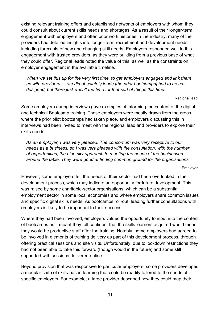existing relevant training offers and established networks of employers with whom they could consult about current skills needs and shortages. As a result of their longer-term engagement with employers and often prior work histories in the industry, many of the providers had detailed insights into longer-term recruitment and development needs, including forecasts of new and changing skill needs. Employers responded well to this engagement with trusted providers, as they were building from a previous base of what they could offer. Regional leads noted the value of this, as well as the constraints on employer engagement in the available timeline.

*When we set this up for the very first time, to get employers engaged and link them up with providers … we did absolutely loads [the prior bootcamps] had to be codesigned, but there just wasn't the time for that sort of things this time.* 

Regional lead

Some employers during interviews gave examples of informing the content of the digital and technical Bootcamp training. These employers were mostly drawn from the areas where the prior pilot bootcamps had taken place, and employers discussing this in interviews had been invited to meet with the regional lead and providers to explore their skills needs.

*As an employer, I was very pleased. The consortium was very receptive to our needs as a business, so I was very pleased with the consultation, with the number of opportunities, the blue sky approach to meeting the needs of the businesses around the table. They were good at finding common ground for the organisations.* 

Employer

However, some employers felt the needs of their sector had been overlooked in the development process, which may indicate an opportunity for future development. This was raised by some charitable-sector organisations, which can be a substantial employment sector in some local economies and where employers share common issues and specific digital skills needs. As bootcamps roll-out, leading further consultations with employers is likely to be important to their success.

Where they had been involved, employers valued the opportunity to input into the content of bootcamps as it meant they felt confident that the skills learners acquired would mean they would be productive staff after the training. Notably, some employers had agreed to be involved in elements of training delivery as part of this development process, through offering practical sessions and site visits. Unfortunately, due to lockdown restrictions they had not been able to take this forward (though would in the future) and some still supported with sessions delivered online.

Beyond provision that was responsive to particular employers, some providers developed a modular suite of skills-based learning that could be readily tailored to the needs of specific employers. For example, a large provider described how they could map their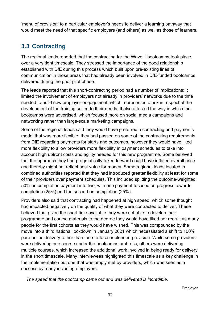'menu of provision' to a particular employer's needs to deliver a learning pathway that would meet the need of that specific employers (and others) as well as those of learners.

## **3.3 Contracting**

The regional leads reported that the contracting for the Wave 1 bootcamps took place over a very tight timescale. They stressed the importance of the good relationship established with DfE during this process which built upon pre-existing lines of communication in those areas that had already been involved in DfE-funded bootcamps delivered during the prior pilot phase.

The leads reported that this short-contracting period had a number of implications: it limited the involvement of employers not already in providers' networks due to the time needed to build new employer engagement, which represented a risk in respect of the development of the training suited to their needs. It also affected the way in which the bootcamps were advertised, which focused more on social media campaigns and networking rather than large-scale marketing campaigns.

Some of the regional leads said they would have preferred a contracting and payments model that was more flexible: they had passed on some of the contracting requirements from DfE regarding payments for starts and outcomes, however they would have liked more flexibility to allow providers more flexibility in payment schedules to take into account high upfront costs and agility needed for this new programme. Some believed that the approach they had pragmatically taken forward could have inflated overall price and thereby might not reflect best value for money. Some regional leads located in combined authorities reported that they had introduced greater flexibility at least for some of their providers over payment schedules. This included splitting the outcome-weighted 50% on completion payment into two, with one payment focused on progress towards completion (25%) and the second on completion (25%).

Providers also said that contracting had happened at high speed, which some thought had impacted negatively on the quality of what they were contracted to deliver. These believed that given the short time available they were not able to develop their programme and course materials to the degree they would have liked nor recruit as many people for the first cohorts as they would have wished. This was compounded by the move into a third national lockdown in January 2021 which necessitated a shift to 100% pure online delivery rather than face-to-face or blended provision. While some providers were delivering one course under the bootcamps umbrella, others were delivering multiple courses, which increased the additional work involved in being ready for delivery in the short timescale. Many interviewees highlighted this timescale as a key challenge in the implementation but one that was amply met by providers, which was seen as a success by many including employers.

*The speed that the bootcamp came out and was delivered is incredible.*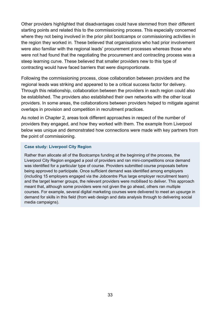Other providers highlighted that disadvantages could have stemmed from their different starting points and related this to the commissioning process. This especially concerned where they not being involved in the prior pilot bootcamps or commissioning activities in the region they worked in. These believed that organisations who had prior involvement were also familiar with the regional leads' procurement processes whereas those who were not had found that the negotiating the procurement and contracting process was a steep learning curve. These believed that smaller providers new to this type of contracting would have faced barriers that were disproportionate.

Following the commissioning process, close collaboration between providers and the regional leads was striking and appeared to be a critical success factor for delivery. Through this relationship, collaboration between the providers in each region could also be established. The providers also established their own networks with the other local providers. In some areas, the collaborations between providers helped to mitigate against overlaps in provision and competition in recruitment practices.

As noted in Chapter 2, areas took different approaches in respect of the number of providers they engaged, and how they worked with them. The example from Liverpool below was unique and demonstrated how connections were made with key partners from the point of commissioning.

#### **Case study: Liverpool City Region**

Rather than allocate all of the Bootcamps funding at the beginning of the process, the Liverpool City Region engaged a pool of providers and ran mini-competitions once demand was identified for a particular type of course. Providers submitted course proposals before being approved to participate. Once sufficient demand was identified among employers (including 15 employers engaged via the Jobcentre Plus large employer recruitment team) and the target learner groups, the relevant providers were mobilised to deliver. This approach meant that, although some providers were not given the go ahead, others ran multiple courses. For example, several digital marketing courses were delivered to meet an upsurge in demand for skills in this field (from web design and data analysis through to delivering social media campaigns).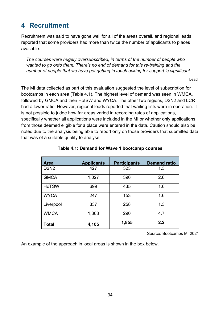# **4 Recruitment**

Recruitment was said to have gone well for all of the areas overall, and regional leads reported that some providers had more than twice the number of applicants to places available.

*The courses were hugely oversubscribed, in terms of the number of people who wanted to go onto them. There's no end of demand for this re-training and the number of people that we have got getting in touch asking for support is significant.*

Lead

The MI data collected as part of this evaluation suggested the level of subscription for bootcamps in each area (Table 4.1). The highest level of demand was seen in WMCA, followed by GMCA and then HotSW and WYCA. The other two regions, D2N2 and LCR had a lower ratio. However, regional leads reported that waiting lists were in operation. It is not possible to judge how far areas varied in recording rates of applications, specifically whether all applications were included in the MI or whether only applications from those deemed eligible for a place were entered in the data. Caution should also be noted due to the analysis being able to report only on those providers that submitted data that was of a suitable quality to analyse.

| <b>Area</b>  | <b>Applicants</b> | <b>Participants</b> | <b>Demand ratio</b> |
|--------------|-------------------|---------------------|---------------------|
| <b>D2N2</b>  | 427               | 323                 | 1.3                 |
| <b>GMCA</b>  | 1,027             | 396                 | 2.6                 |
| <b>HoTSW</b> | 699               | 435                 | 1.6                 |
| <b>WYCA</b>  | 247               | 153                 | 1.6                 |
| Liverpool    | 337               | 258                 | 1.3                 |
| <b>WMCA</b>  | 1,368             | 290                 | 4.7                 |
| <b>Total</b> | 4,105             | 1,855               | 2.2                 |

#### **Table 4.1: Demand for Wave 1 bootcamp courses**

Source: Bootcamps MI 2021

An example of the approach in local areas is shown in the box below.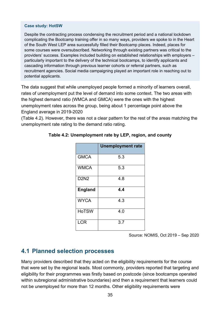#### **Case study: HotSW**

Despite the contracting process condensing the recruitment period and a national lockdown complicating the Bootcamp training offer in so many ways, providers we spoke to in the Heart of the South West LEP area successfully filled their Bootcamp places. Indeed, places for some courses were oversubscribed. Networking through existing partners was critical to the providers' success. Examples included building on established relationships with employers – particularly important to the delivery of the technical bootcamps, to identify applicants and cascading information through previous learner cohorts or referral partners, such as recruitment agencies. Social media campaigning played an important role in reaching out to potential applicants.

The data suggest that while unemployed people formed a minority of learners overall, rates of unemployment put the level of demand into some context. The two areas with the highest demand ratio (WMCA and GMCA) were the ones with the highest unemployment rates across the group, being about 1 percentage point above the England average in 2019-2020

(Table 4.2). However, there was not a clear pattern for the rest of the areas matching the unemployment rate rating to the demand ratio rating.

|                | <b>Unemployment rate</b> |
|----------------|--------------------------|
| <b>GMCA</b>    | 5.3                      |
| <b>WMCA</b>    | 5.3                      |
| <b>D2N2</b>    | 4.8                      |
| <b>England</b> | 4.4                      |
| <b>WYCA</b>    | 4.3                      |
| <b>HoTSW</b>   | 4.0                      |
| <b>LCR</b>     | 3.7                      |

#### **Table 4.2: Unemployment rate by LEP, region, and county**

Source: NOMIS, Oct 2019 – Sep 2020

## **4.1 Planned selection processes**

Many providers described that they acted on the eligibility requirements for the course that were set by the regional leads. Most commonly, providers reported that targeting and eligibility for their programmes was firstly based on postcode (since bootcamps operated within subregional administrative boundaries) and then a requirement that learners could not be unemployed for more than 12 months. Other eligibility requirements were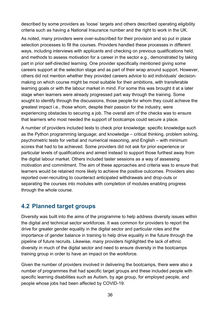described by some providers as 'loose' targets and others described operating eligibility criteria such as having a National Insurance number and the right to work in the UK.

As noted, many providers were over-subscribed for their provision and so put in place selection processes to fill the courses. Providers handled these processes in different ways, including interviews with applicants and checking on previous qualifications held, and methods to assess motivation for a career in the sector e.g., demonstrated by taking part in prior self-directed learning. One provider specifically mentioned giving some careers support at the selection stage and as part of their wrap around support. However, others did not mention whether they provided careers advice to aid individuals' decisionmaking on which course might be most suitable for their ambitions, with transferable learning goals or with the labour market in mind. For some this was brought it at a later stage when learners were already progressed part way through the training. Some sought to identify through the discussions, those people for whom they could achieve the greatest impact i.e., those whom, despite their passion for the industry, were experiencing obstacles to securing a job. The overall aim of the checks was to ensure that learners who most needed the support of bootcamps could secure a place.

A number of providers included tests to check prior knowledge: specific knowledge such as the Python programming language; and knowledge – critical thinking, problem solving, psychometric tests for verbal and numerical reasoning, and English – with minimum scores that had to be achieved. Some providers did not ask for prior experience or particular levels of qualifications and aimed instead to support those furthest away from the digital labour market. Others included taster sessions as a way of assessing motivation and commitment. The aim of these approaches and criteria was to ensure that learners would be retained more likely to achieve the positive outcomes. Providers also reported over-recruiting to counteract anticipated withdrawals and drop-outs or separating the courses into modules with completion of modules enabling progress through the whole course.

## **4.2 Planned target groups**

Diversity was built into the aims of the programme to help address diversity issues within the digital and technical sector workforces. It was common for providers to report the drive for greater gender equality in the digital sector and particular roles and the importance of gender balance in training to help drive equality in the future through the pipeline of future recruits. Likewise, many providers highlighted the lack of ethnic diversity in much of the digital sector and need to ensure diversity in the bootcamps training group in order to have an impact on the workforce.

Given the number of providers involved in delivering the bootcamps, there were also a number of programmes that had specific target groups and these included people with specific learning disabilities such as Autism, by age group, for employed people, and people whose jobs had been affected by COVID-19.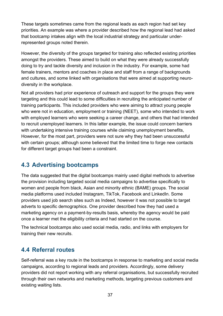These targets sometimes came from the regional leads as each region had set key priorities. An example was where a provider described how the regional lead had asked that bootcamp intakes align with the local industrial strategy and particular underrepresented groups noted therein.

However, the diversity of the groups targeted for training also reflected existing priorities amongst the providers. These aimed to build on what they were already successfully doing to try and tackle diversity and inclusion in the industry. For example, some had female trainers, mentors and coaches in place and staff from a range of backgrounds and cultures, and some linked with organisations that were aimed at supporting neurodiversity in the workplace.

Not all providers had prior experience of outreach and support for the groups they were targeting and this could lead to some difficulties in recruiting the anticipated number of training participants. This included providers who were aiming to attract young people who were not in education, employment or training (NEET), some who intended to work with employed learners who were seeking a career change, and others that had intended to recruit unemployed learners. In this latter example, the issue could concern barriers with undertaking intensive training courses while claiming unemployment benefits, However, for the most part, providers were not sure why they had been unsuccessful with certain groups; although some believed that the limited time to forge new contacts for different target groups had been a constraint.

### **4.3 Advertising bootcamps**

The data suggested that the digital bootcamps mainly used digital methods to advertise the provision including targeted social media campaigns to advertise specifically to women and people from black, Asian and minority ethnic (BAME) groups. The social media platforms used included Instagram, TikTok, Facebook and LinkedIn. Some providers used job search sites such as Indeed, however it was not possible to target adverts to specific demographics. One provider described how they had used a marketing agency on a payment-by-results basis, whereby the agency would be paid once a learner met the eligibility criteria and had started on the course.

The technical bootcamps also used social media, radio, and links with employers for training their new recruits.

### **4.4 Referral routes**

Self-referral was a key route in the bootcamps in response to marketing and social media campaigns, according to regional leads and providers. Accordingly, some delivery providers did not report working with any referral organisations, but successfully recruited through their own networks and marketing methods, targeting previous customers and existing waiting lists.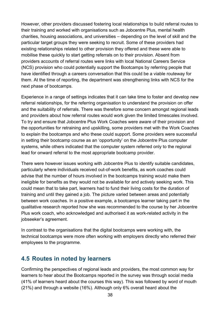However, other providers discussed fostering local relationships to build referral routes to their training and worked with organisations such as Jobcentre Plus, mental health charities, housing associations, and universities – depending on the level of skill and the particular target groups they were seeking to recruit. Some of these providers had existing relationships related to other provision they offered and these were able to mobilise these quickly to start getting referrals on to their provision. Absent from providers accounts of referral routes were links with local National Careers Service (NCS) provision who could potentially support the Bootcamps by referring people that have identified through a careers conversation that this could be a viable routeway for them. At the time of reporting, the department was strengthening links with NCS for the next phase of bootcamps.

Experience in a range of settings indicates that it can take time to foster and develop new referral relationships, for the referring organisation to understand the provision on offer and the suitability of referrals. There was therefore some concern amongst regional leads and providers about how referral routes would work given the limited timescales involved. To try and ensure that Jobcentre Plus Work Coaches were aware of their provision and the opportunities for retraining and upskilling, some providers met with the Work Coaches to explain the bootcamps and who these could support. Some providers were successful in setting their bootcamp course as an 'opportunity' on the Jobcentre Plus computer systems, while others indicated that the computer system referred only to the regional lead for onward referral to the most appropriate bootcamp provider.

There were however issues working with Jobcentre Plus to identify suitable candidates, particularly where individuals received out-of-work benefits, as work coaches could advise that the number of hours involved in the bootcamps training would make them ineligible for benefits as they would not be available for and actively seeking work. This could mean that to take part, learners had to fund their living costs for the duration of training and until they gained a job. The picture varied between areas and potentially between work coaches. In a positive example, a bootcamps learner taking part in the qualitative research reported how she was recommended to the course by her Jobcentre Plus work coach, who acknowledged and authorised it as work-related activity in the jobseeker's agreement.

In contrast to the organisations that the digital bootcamps were working with, the technical bootcamps were more often working with employers directly who referred their employees to the programme.

### **4.5 Routes in noted by learners**

Confirming the perspectives of regional leads and providers, the most common way for learners to hear about the Bootcamps reported in the survey was through social media (41% of learners heard about the courses this way). This was followed by word of mouth (21%) and through a website (16%). Although only 6% overall heard about the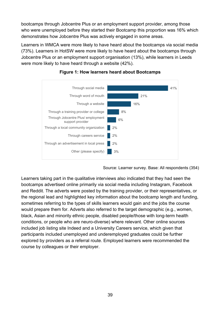bootcamps through Jobcentre Plus or an employment support provider, among those who were unemployed before they started their Bootcamp this proportion was 16% which demonstrates how Jobcentre Plus was actively engaged in some areas.

Learners in WMCA were more likely to have heard about the bootcamps via social media (73%). Learners in HotSW were more likely to have heard about the bootcamps through Jobcentre Plus or an employment support organisation (13%), while learners in Leeds were more likely to have heard through a website (42%).



#### **Figure 1: How learners heard about Bootcamps**

Source: Learner survey. Base: All respondents (354)

Learners taking part in the qualitative interviews also indicated that they had seen the bootcamps advertised online primarily via social media including Instagram, Facebook and Reddit. The adverts were posted by the training provider, or their representatives, or the regional lead and highlighted key information about the bootcamp length and funding, sometimes referring to the types of skills learners would gain and the jobs the course would prepare them for. Adverts also referred to the target demographic (e.g., women, black, Asian and minority ethnic people, disabled people/those with long-term health conditions, or people who are neuro-diverse) where relevant. Other online sources included job listing site Indeed and a University Careers service, which given that participants included unemployed and underemployed graduates could be further explored by providers as a referral route. Employed learners were recommended the course by colleagues or their employer.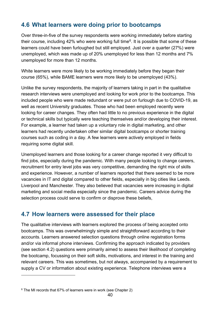### **4.6 What learners were doing prior to bootcamps**

Over three-in-five of the survey respondents were working immediately before starting their course, including 42% who were working full time<sup>6</sup>. It is possible that some of these learners could have been furloughed but still employed. Just over a quarter (27%) were unemployed, which was made up of 20% unemployed for less than 12 months and 7% unemployed for more than 12 months.

White learners were more likely to be working immediately before they began their course (65%), while BAME learners were more likely to be unemployed (43%).

Unlike the survey respondents, the majority of learners taking in part in the qualitative research interviews were unemployed and looking for work prior to the bootcamps. This included people who were made redundant or were put on furlough due to COVID-19, as well as recent University graduates. Those who had been employed recently were looking for career changes. They often had little to no previous experience in the digital or technical skills but typically were teaching themselves and/or developing their interest. For example, a learner had taken up a voluntary role in digital marketing, and other learners had recently undertaken other similar digital bootcamps or shorter training courses such as coding in a day. A few learners were actively employed in fields requiring some digital skill.

Unemployed learners and those looking for a career change reported it very difficult to find jobs, especially during the pandemic. With many people looking to change careers, recruitment for entry level jobs was very competitive, demanding the right mix of skills and experience. However, a number of learners reported that there seemed to be more vacancies in IT and digital compared to other fields, especially in big cities like Leeds. Liverpool and Manchester. They also believed that vacancies were increasing in digital marketing and social media especially since the pandemic. Careers advice during the selection process could serve to confirm or disprove these beliefs,

### **4.7 How learners were assessed for their place**

The qualitative interviews with learners explored the process of being accepted onto bootcamps. This was overwhelmingly simple and straightforward according to their accounts. Learners answered selection questions through online registration forms and/or via informal phone interviews. Confirming the approach indicated by providers (see section 4.2) questions were primarily aimed to assess their likelihood of completing the bootcamp, focussing on their soft skills, motivations, and interest in the training and relevant careers. This was sometimes, but not always, accompanied by a requirement to supply a CV or information about existing experience. Telephone interviews were a

<span id="page-39-0"></span> $6$  The MI records that 67% of learners were in work (see Chapter 2)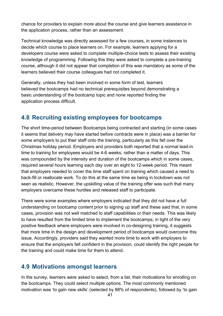chance for providers to explain more about the course and give learners assistance in the application process, rather than an assessment.

Technical knowledge was directly assessed for a few courses, in some instances to decide which course to place learners on. For example, learners applying for a developers course were asked to complete multiple-choice tests to assess their existing knowledge of programming. Following this they were asked to complete a pre-training course, although it did not appear that completion of this was mandatory as some of the learners believed their course colleagues had not completed it.

Generally, unless they had been involved in some form of test, learners believed the bootcamps had no technical prerequisites beyond demonstrating a basic understanding of the bootcamp topic and none reported finding the application process difficult.

### **4.8 Recruiting existing employees for bootcamps**

The short time-period between Bootcamps being contracted and starting (in some cases it seems that delivery may have started before contracts were in place) was a barrier for some employers to put their staff onto the training, particularly as this fell over the Christmas holiday period. Employers and providers both reported that a normal lead-in time to training for employees would be 4-6 weeks, rather than a matter of days. This was compounded by the intensity and duration of the bootcamps which in some cases, required several hours learning each day over an eight to 12-week period. This meant that employers needed to cover the time staff spent on training which caused a need to back-fill or reallocate work. To do this at the same time as being in lockdown was not seen as realistic. However, the upskilling value of the training offer was such that many employers overcame these hurdles and released staff to participate.

There were some examples where employers indicated that they did not have a full understanding on bootcamp content prior to signing up staff and these said that, in some cases, provision was not well matched to staff capabilities or their needs. This was likely to have resulted from the limited time to implement the bootcamps; in light of the very positive feedback where employers were involved in co-designing training, it suggests that more time in the design and development period of bootcamps would overcome this issue. Accordingly, providers said they wanted more time to work with employers to ensure that the employers felt confident in the provision, could identify the right people for the training and could make time for them to attend.

### **4.9 Motivations amongst learners**

In the survey, learners were asked to select, from a list, their motivations for enrolling on the bootcamps. They could select multiple options. The most commonly mentioned motivation was 'to gain new skills' (selected by 88% of respondents), followed by 'to gain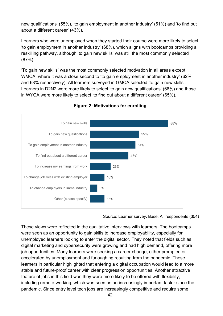new qualifications' (55%), 'to gain employment in another industry' (51%) and 'to find out about a different career' (43%).

Learners who were unemployed when they started their course were more likely to select 'to gain employment in another industry' (68%), which aligns with bootcamps providing a reskilling pathway, although 'to gain new skills' was still the most commonly selected (87%).

'To gain new skills' was the most commonly selected motivation in all areas except WMCA, where it was a close second to 'to gain employment in another industry' (62%) and 68% respectively). All learners surveyed in GMCA selected 'to gain new skills'. Learners in D2N2 were more likely to select 'to gain new qualifications' (66%) and those in WYCA were more likely to select 'to find out about a different career' (65%).



#### **Figure 2: Motivations for enrolling**

Source: Learner survey. Base: All respondents (354)

These views were reflected in the qualitative interviews with learners. The bootcamps were seen as an opportunity to gain skills to increase employability, especially for unemployed learners looking to enter the digital sector. They noted that fields such as digital marketing and cybersecurity were growing and had high demand, offering more job opportunities. Many learners were seeking a career change, either prompted or accelerated by unemployment and furloughing resulting from the pandemic. These learners in particular highlighted that entering a digital occupation would lead to a more stable and future-proof career with clear progression opportunities. Another attractive feature of jobs in this field was they were more likely to be offered with flexibility, including remote-working, which was seen as an increasingly important factor since the pandemic. Since entry level tech jobs are increasingly competitive and require some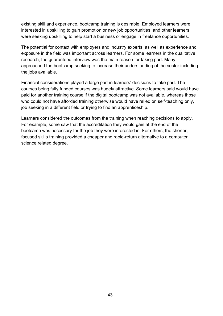existing skill and experience, bootcamp training is desirable. Employed learners were interested in upskilling to gain promotion or new job opportunities, and other learners were seeking upskilling to help start a business or engage in freelance opportunities.

The potential for contact with employers and industry experts, as well as experience and exposure in the field was important across learners. For some learners in the qualitative research, the guaranteed interview was the main reason for taking part. Many approached the bootcamp seeking to increase their understanding of the sector including the jobs available.

Financial considerations played a large part in learners' decisions to take part. The courses being fully funded courses was hugely attractive. Some learners said would have paid for another training course if the digital bootcamp was not available, whereas those who could not have afforded training otherwise would have relied on self-teaching only, job seeking in a different field or trying to find an apprenticeship.

Learners considered the outcomes from the training when reaching decisions to apply. For example, some saw that the accreditation they would gain at the end of the bootcamp was necessary for the job they were interested in. For others, the shorter, focused skills training provided a cheaper and rapid-return alternative to a computer science related degree.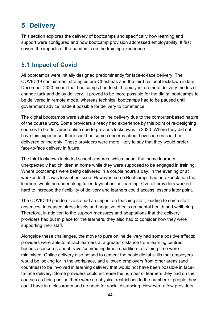# **5 Delivery**

This section explores the delivery of bootcamps and specifically how learning and support were configured and how bootcamp provision addressed employability. It first covers the impacts of the pandemic on the training experience.

## **5.1 Impact of Covid**

All bootcamps were initially designed predominantly for face-to-face delivery. The COVID-19 containment strategies pre-Christmas and the third national lockdown in late December 2020 meant that bootcamps had to shift rapidly into remote delivery modes or change tack and delay delivery. It proved to be more possible for the digital bootcamps to be delivered in remote mode, whereas technical bootcamps had to be paused until government advice made it possible for delivery to commence.

The digital bootcamps were suitable for online delivery due to the computer-based nature of the course work. Some providers already had experience by this point of re-designing courses to be delivered online due to previous lockdowns in 2020. Where they did not have this experience, there could be some concerns about how courses could be delivered online only. These providers were more likely to say that they would prefer face-to-face delivery in future.

The third lockdown included school closures, which meant that some learners unexpectedly had children at home while they were supposed to be engaged in training. Where bootcamps were being delivered in a couple hours a day, in the evening or at weekends this was less of an issue. However, some Bootcamps had an expectation that learners would be undertaking fuller days of online learning. Overall providers worked hard to increase the flexibility of delivery and learners could access lessons later point.

The COVID-19 pandemic also had an impact on teaching staff, leading to some staff absences, increased stress levels and negative effects on mental health and wellbeing. Therefore, in addition to the support measures and adaptations that the delivery providers had put in place for the learners, they also had to consider how they were supporting their staff.

Alongside these challenges, the move to pure online delivery had some positive effects: providers were able to attract learners at a greater distance from learning centres because concerns about travel/commuting time in addition to training time were minimised. Online delivery also helped to cement the basic digital skills that employers would be looking for in the workplace, and allowed employers from other areas (and countries) to be involved in learning delivery that would not have been possible in faceto-face delivery. Some providers could increase the number of learners they had on their courses as being online there were no physical restrictions to the number of people they could have in a classroom and no need for social distancing. However, a few providers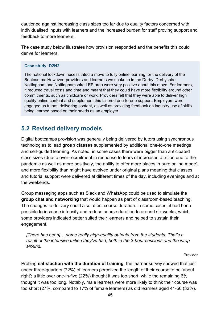cautioned against increasing class sizes too far due to quality factors concerned with individualised inputs with learners and the increased burden for staff proving support and feedback to more learners.

The case study below illustrates how provision responded and the benefits this could derive for learners.

#### **Case study: D2N2**

The national lockdown necessitated a move to fully online learning for the delivery of the Bootcamps. However, providers and learners we spoke to in the Derby, Derbyshire, Nottingham and Nottinghamshire LEP area were very positive about this move. For learners, it reduced travel costs and time and meant that they could have more flexibility around other commitments, such as childcare or work. Providers felt that they were able to deliver high quality online content and supplement this tailored one-to-one support. Employers were engaged as tutors, delivering content, as well as providing feedback on industry use of skills being learned based on their needs as an employer.

### **5.2 Revised delivery models**

Digital bootcamps provision was generally being delivered by tutors using synchronous technologies to lead **group classes** supplemented by additional one-to-one meetings and self-guided learning. As noted, in some cases there were bigger than anticipated class sizes (due to over-recruitment in response to fears of increased attrition due to the pandemic as well as more positively, the ability to offer more places in pure online mode), and more flexibility than might have evolved under original plans meaning that classes and tutorial support were delivered at different times of the day, including evenings and at the weekends.

Group messaging apps such as Slack and WhatsApp could be used to simulate the **group chat and networking** that would happen as part of classroom-based teaching. The changes to delivery could also affect course duration. In some cases, it had been possible to increase intensity and reduce course duration to around six weeks, which some providers indicated better suited their learners and helped to sustain their engagement.

*[There has been]… some really high-quality outputs from the students. That's a result of the intensive tuition they've had, both in the 3-hour sessions and the wrap around.*

Provider

Probing **satisfaction with the duration of training**, the learner survey showed that just under three-quarters (72%) of learners perceived the length of their course to be 'about right'; a little over one-in-five (22%) thought it was too short, while the remaining 6% thought it was too long. Notably, male learners were more likely to think their course was too short (27%, compared to 17% of female learners) as did learners aged 41-50 (32%).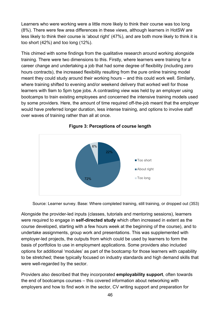Learners who were working were a little more likely to think their course was too long (8%). There were few area differences in these views, although learners in HotSW are less likely to think their course is 'about right' (47%), and are both more likely to think it is too short (42%) and too long (12%).

This chimed with some findings from the qualitative research around working alongside training. There were two dimensions to this. Firstly, where learners were training for a career change and undertaking a job that had some degree of flexibility (including zero hours contracts), the increased flexibility resulting from the pure online training model meant they could study around their working hours – and this could work well. Similarly, where training shifted to evening and/or weekend delivery that worked well for those learners with 9am to 5pm type jobs. A contrasting view was held by an employer using bootcamps to train existing employees and concerned the intensive training models used by some providers. Here, the amount of time required off-the-job meant that the employer would have preferred longer duration, less intense training, and options to involve staff over waves of training rather than all at once.





Source: Learner survey. Base: Where completed training, still training, or dropped out (353)

Alongside the provider-led inputs (classes, tutorials and mentoring sessions), learners were required to engage in **self-directed study** which often increased in extent as the course developed, starting with a few hours week at the beginning of the course), and to undertake assignments, group work and presentations. This was supplemented with employer-led projects, the outputs from which could be used by learners to form the basis of portfolios to use in employment applications. Some providers also included options for additional 'modules' as part of the bootcamp for those learners with capability to be stretched; these typically focused on industry standards and high demand skills that were well-regarded by the sector.

Providers also described that they incorporated **employability support**, often towards the end of bootcamps courses – this covered information about networking with employers and how to find work in the sector, CV writing support and preparation for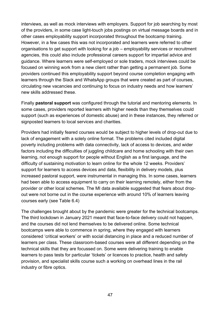interviews, as well as mock interviews with employers. Support for job searching by most of the providers, in some case light-touch jobs postings on virtual message boards and in other cases employability support incorporated throughout the bootcamp training. However, in a few cases this was not incorporated and learners were referred to other organisations to get support with looking for a job – employability services or recruitment agencies, this could also include professional careers support for impartial advice and guidance. Where learners were self-employed or sole traders, mock interviews could be focused on winning work from a new client rather than getting a permanent job. Some providers continued this employability support beyond course completion engaging with learners through the Slack and WhatsApp groups that were created as part of courses, circulating new vacancies and continuing to focus on industry needs and how learners' new skills addressed these.

Finally **pastoral support** was configured through the tutorial and mentoring elements. In some cases, providers reported learners with higher needs than they themselves could support (such as experiences of domestic abuse) and in these instances, they referred or signposted learners to local services and charities.

Providers had initially feared courses would be subject to higher levels of drop-out due to lack of engagement with a solely online format. The problems cited included digital poverty including problems with data connectivity, lack of access to devices, and wider factors including the difficulties of juggling childcare and home schooling with their own learning, not enough support for people without English as a first language, and the difficulty of sustaining motivation to learn online for the whole 12 weeks. Providers' support for learners to access devices and data, flexibility in delivery models, plus increased pastoral support, were instrumental in managing this. In some cases, learners had been able to access equipment to carry on their learning remotely, either from the provider or other local schemes. The MI data available suggested that fears about dropout were not borne out in the course experience with around 10% of learners leaving courses early (see Table 6.4)

The challenges brought about by the pandemic were greater for the technical bootcamps. The third lockdown in January 2021 meant that face-to-face delivery could not happen, and the courses did not lend themselves to be delivered online. Some technical bootcamps were able to commence in spring, where they engaged with learners considered 'critical workers' or with social distancing in place and a reduced number of learners per class. These classroom-based courses were all different depending on the technical skills that they are focussed on. Some were delivering training to enable learners to pass tests for particular 'tickets' or licences to practice, health and safety provision, and specialist skills course such a working on overhead lines in the rail industry or fibre optics.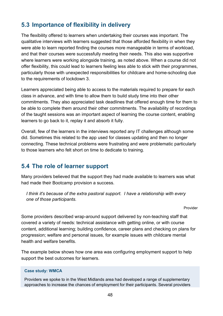## **5.3 Importance of flexibility in delivery**

The flexibility offered to learners when undertaking their courses was important. The qualitative interviews with learners suggested that those afforded flexibility in when they were able to learn reported finding the courses more manageable in terms of workload, and that their courses were successfully meeting their needs. This also was supportive where learners were working alongside training, as noted above. When a course did not offer flexibility, this could lead to learners feeling less able to stick with their programmes, particularly those with unexpected responsibilities for childcare and home-schooling due to the requirements of lockdown 3.

Learners appreciated being able to access to the materials required to prepare for each class in advance, and with time to allow them to build study time into their other commitments. They also appreciated task deadlines that offered enough time for them to be able to complete them around their other commitments. The availability of recordings of the taught sessions was an important aspect of learning the course content, enabling learners to go back to it, replay it and absorb it fully.

Overall, few of the learners in the interviews reported any IT challenges although some did. Sometimes this related to the app used for classes updating and then no longer connecting. These technical problems were frustrating and were problematic particularly to those learners who felt short on time to dedicate to training.

### **5.4 The role of learner support**

Many providers believed that the support they had made available to learners was what had made their Bootcamp provision a success.

*I think it's because of the extra pastoral support. I have a relationship with every one of those participants.*

Provider

Some providers described wrap-around support delivered by non-teaching staff that covered a variety of needs: technical assistance with getting online, or with course content, additional learning; building confidence, career plans and checking on plans for progression; welfare and personal issues, for example issues with childcare mental health and welfare benefits.

The example below shows how one area was configuring employment support to help support the best outcomes for learners.

#### **Case study: WMCA**

Providers we spoke to in the West Midlands area had developed a range of supplementary approaches to increase the chances of employment for their participants. Several providers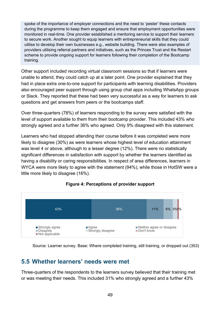spoke of the importance of employer connections and the need to 'pester' these contacts during the programme to keep them engaged and ensure that employment opportunities were monitored in real-time. One provider established a mentoring service to support their learners to secure work. Another sought to equip learners with entrepreneurial skills that they could utilise to develop their own businesses e.g., website building. There were also examples of providers utilising referral partners and initiatives, such as the Princes Trust and the Restart scheme to provide ongoing support for learners following their completion of the Bootcamp training.

Other support included recording virtual classroom sessions so that if learners were unable to attend, they could catch up at a later point. One provider explained that they had in place extra one-to-one support for participants with learning disabilities. Providers also encouraged peer support through using group chat apps including WhatsApp groups or Slack. They reported that these had been very successful as a way for learners to ask questions and get answers from peers or the bootcamps staff.

Over three-quarters (78%) of learners responding to the survey were satisfied with the level of support available to them from their bootcamp provider. This included 43% who strongly agreed and a further 36% who agreed. Only 9% disagreed with this statement.

Learners who had stopped attending their course before it was completed were more likely to disagree (30%) as were learners whose highest level of education attainment was level 4 or above, although to a lesser degree (12%). There were no statistically significant differences in satisfaction with support by whether the learners identified as having a disability or caring responsibilities. In respect of area differences, learners in WYCA were more likely to agree with the statement (94%), while those in HotSW were a little more likely to disagree (16%).



### **Figure 4: Perceptions of provider support**

Source: Learner survey. Base: Where completed training, still training, or dropped out (353)

### **5.5 Whether learners' needs were met**

Three-quarters of the respondents to the learners survey believed that their training met or was meeting their needs. This included 31% who strongly agreed and a further 43%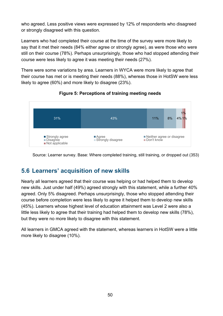who agreed. Less positive views were expressed by 12% of respondents who disagreed or strongly disagreed with this question.

Learners who had completed their course at the time of the survey were more likely to say that it met their needs (84% either agree or strongly agree), as were those who were still on their course (78%). Perhaps unsurprisingly, those who had stopped attending their course were less likely to agree it was meeting their needs (27%).

There were some variations by area. Learners in WYCA were more likely to agree that their course has met or is meeting their needs (88%), whereas those in HotSW were less likely to agree (60%) and more likely to disagree (23%).



### **Figure 5: Perceptions of training meeting needs**

Source: Learner survey. Base: Where completed training, still training, or dropped out (353)

### **5.6 Learners' acquisition of new skills**

Nearly all learners agreed that their course was helping or had helped them to develop new skills. Just under half (49%) agreed strongly with this statement, while a further 40% agreed. Only 5% disagreed. Perhaps unsurprisingly, those who stopped attending their course before completion were less likely to agree it helped them to develop new skills (45%). Learners whose highest level of education attainment was Level 2 were also a little less likely to agree that their training had helped them to develop new skills (78%), but they were no more likely to disagree with this statement.

All learners in GMCA agreed with the statement, whereas learners in HotSW were a little more likely to disagree (10%).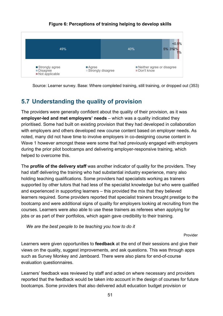

#### **Figure 6: Perceptions of training helping to develop skills**

Source: Learner survey. Base: Where completed training, still training, or dropped out (353)

## **5.7 Understanding the quality of provision**

The providers were generally confident about the quality of their provision, as it was **employer-led and met employers' needs** – which was a quality indicated they prioritised. Some had built on existing provision that they had developed in collaboration with employers and others developed new course content based on employer needs. As noted, many did not have time to involve employers in co-designing course content in Wave 1 however amongst these were some that had previously engaged with employers during the prior pilot bootcamps and delivering employer-responsive training, which helped to overcome this.

The **profile of the delivery staff** was another indicator of quality for the providers. They had staff delivering the training who had substantial industry experience, many also holding teaching qualifications. Some providers had specialists working as trainers supported by other tutors that had less of the specialist knowledge but who were qualified and experienced in supporting learners – this provided the mix that they believed learners required. Some providers reported that specialist trainers brought prestige to the bootcamp and were additional signs of quality for employers looking at recruiting from the courses. Learners were also able to use these trainers as referees when applying for jobs or as part of their portfolios, which again gave credibility to their training.

*We are the best people to be teaching you how to do it*

Provider

Learners were given opportunities to **feedback** at the end of their sessions and give their views on the quality, suggest improvements, and ask questions. This was through apps such as Survey Monkey and Jamboard. There were also plans for end-of-course evaluation questionnaires.

Learners' feedback was reviewed by staff and acted on where necessary and providers reported that the feedback would be taken into account in the design of courses for future bootcamps. Some providers that also delivered adult education budget provision or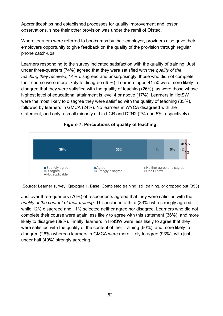Apprenticeships had established processes for quality improvement and lesson observations, since their other provision was under the remit of Ofsted.

Where learners were referred to bootcamps by their employer, providers also gave their employers opportunity to give feedback on the quality of the provision through regular phone catch-ups.

Learners responding to the survey indicated satisfaction with the quality of training. Just under three-quarters (74%) agreed that they were satisfied with the *quality of the teaching they received*, 14% disagreed and unsurprisingly, those who did not complete their course were more likely to disagree (45%). Learners aged 41-50 were more likely to disagree that they were satisfied with the quality of teaching (26%), as were those whose highest level of educational attainment is level 4 or above (17%). Learners in HotSW were the most likely to disagree they were satisfied with the quality of teaching (35%), followed by learners in GMCA (24%). No learners in WYCA disagreed with the statement, and only a small minority did in LCR and D2N2 (2% and 5% respectively).



#### **Figure 7: Perceptions of quality of teaching**

Source: Learner survey. Qexpqual1. Base: Completed training, still training, or dropped out (353)

Just over three-quarters (76%) of respondents agreed that they were satisfied with the *quality of the content of their training*. This included a third (33%) who strongly agreed, while 12% disagreed and 11% selected neither agree nor disagree. Learners who did not complete their course were again less likely to agree with this statement (36%), and more likely to disagree (39%). Finally, learners in HotSW were less likely to agree that they were satisfied with the quality of the content of their training (60%), and more likely to disagree (26%) whereas learners in GMCA were more likely to agree (93%), with just under half (49%) strongly agreeing.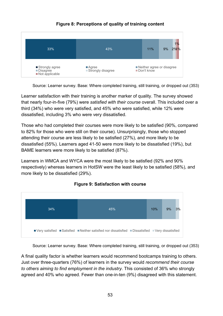

### **Figure 8: Perceptions of quality of training content**

Source: Learner survey. Base: Where completed training, still training, or dropped out (353)

Learner satisfaction with their training is another marker of quality. The survey showed that nearly four-in-five (79%) were *satisfied with their course* overall. This included over a third (34%) who were very satisfied, and 45% who were satisfied, while 12% were dissatisfied, including 3% who were very dissatisfied.

Those who had completed their courses were more likely to be satisfied (90%, compared to 82% for those who were still on their course). Unsurprisingly, those who stopped attending their course are less likely to be satisfied (27%), and more likely to be dissatisfied (55%). Learners aged 41-50 were more likely to be dissatisfied (19%), but BAME learners were more likely to be satisfied (87%).

Learners in WMCA and WYCA were the most likely to be satisfied (92% and 90% respectively) whereas learners in HotSW were the least likely to be satisfied (58%), and more likely to be dissatisfied (29%).



### **Figure 9: Satisfaction with course**

Source: Learner survey. Base: Where completed training, still training, or dropped out (353)

A final quality factor is whether learners would recommend bootcamps training to others. Just over three-quarters (76%) of learners in the survey would *recommend their course to others aiming to find employment in the industry*. This consisted of 36% who strongly agreed and 40% who agreed. Fewer than one-in-ten (9%) disagreed with this statement.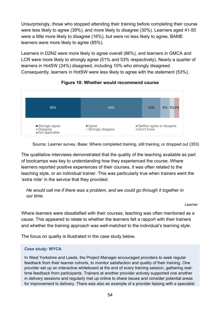Unsurprisingly, those who stopped attending their training before completing their course were less likely to agree (39%), and more likely to disagree (30%). Learners aged 41-50 were a little more likely to disagree (16%), but were no less likely to agree. BAME learners were more likely to agree (85%).

Learners in D2N2 were more likely to agree overall (86%), and learners in GMCA and LCR were more likely to strongly agree (51% and 53% respectively). Nearly a quarter of learners in HotSW (24%) disagreed, including 10% who strongly disagreed. Consequently, learners in HotSW were less likely to agree with the statement (53%).



#### **Figure 10: Whether would recommend course**

Source: Learner survey. Base: Where completed training, still training, or dropped out (353)

The qualitative interviews demonstrated that the quality of the teaching available as part of bootcamps was key to understanding how they experienced the course. Where learners reported positive experiences of their courses, it was often related to the teaching style, or an individual trainer. This was particularly true when trainers went the 'extra mile' in the service that they provided.

*He would call me if there was a problem, and we could go through it together in our time.*

Learner

Where learners were dissatisfied with their courses, teaching was often mentioned as a cause. This appeared to relate to whether the learners felt a rapport with their trainers and whether the training approach was well-matched to the individual's learning style.

The focus on quality is illustrated in the case study below.

#### **Case study: WYCA**

In West Yorkshire and Leeds, the Project Manager encouraged providers to seek regular feedback from their learner cohorts, to monitor satisfaction and quality of their training. One provider set up an interactive whiteboard at the end of every training session, gathering realtime feedback from participants. Trainers at another provider actively supported one another in delivery sessions and regularly met up online to share issues and consider potential areas for improvement to delivery. There was also an example of a provider liaising with a specialist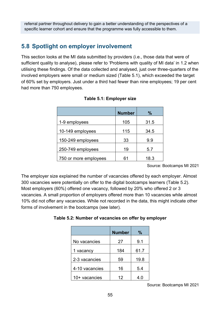referral partner throughout delivery to gain a better understanding of the perspectives of a specific learner cohort and ensure that the programme was fully accessible to them.

### **5.8 Spotlight on employer involvement**

This section looks at the MI data submitted by providers (i.e., those data that were of sufficient quality to analyse), please refer to 'Problems with quality of MI data' in 1.2 when utilising these findings. Of the data collected and analysed, just over three-quarters of the involved employers were small or medium sized (Table 5.1), which exceeded the target of 60% set by employers. Just under a third had fewer than nine employees; 19 per cent had more than 750 employees.

|                       | <b>Number</b> | $\%$ |
|-----------------------|---------------|------|
| 1-9 employees         | 105           | 31.5 |
| 10-149 employees      | 115           | 34.5 |
| 150-249 employees     | 33            | 9.9  |
| 250-749 employees     | 19            | 5.7  |
| 750 or more employees | 61            | 18.3 |

Source: Bootcamps MI 2021

The employer size explained the number of vacancies offered by each employer. Almost 300 vacancies were potentially on offer to the digital bootcamps learners (Table 5.2). Most employers (60%) offered one vacancy, followed by 20% who offered 2 or 3 vacancies. A small proportion of employers offered more than 10 vacancies while almost 10% did not offer any vacancies. While not recorded in the data, this might indicate other forms of involvement in the bootcamps (see later).

| Table 5.2: Number of vacancies on offer by employer |
|-----------------------------------------------------|
|-----------------------------------------------------|

|                | <b>Number</b> | ℅    |
|----------------|---------------|------|
| No vacancies   | 27            | 9.1  |
| 1 vacancy      | 184           | 61.7 |
| 2-3 vacancies  | 59            | 19.8 |
| 4-10 vacancies | 16            | 5.4  |
| 10+ vacancies  | 12            | 4.0  |

Source: Bootcamps MI 2021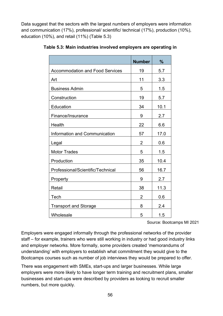Data suggest that the sectors with the largest numbers of employers were information and communication (17%), professional/ scientific/ technical (17%), production (10%), education (10%), and retail (11%) (Table 5.3)

|                                        | <b>Number</b>  | $\%$ |
|----------------------------------------|----------------|------|
| <b>Accommodation and Food Services</b> | 19             | 5.7  |
| Art                                    | 11             | 3.3  |
| <b>Business Admin</b>                  | 5              | 1.5  |
| Construction                           | 19             | 5.7  |
| Education                              | 34             | 10.1 |
| Finance/Insurance                      | 9              | 2.7  |
| Health                                 | 22             | 6.6  |
| Information and Communication          | 57             | 17.0 |
| Legal                                  | 2              | 0.6  |
| <b>Motor Trades</b>                    | 5              | 1.5  |
| Production                             | 35             | 10.4 |
| Professional/Scientific/Technical      | 56             | 16.7 |
| Property                               | 9              | 2.7  |
| Retail                                 | 38             | 11.3 |
| Tech                                   | $\overline{2}$ | 0.6  |
| <b>Transport and Storage</b>           | 8              | 2.4  |
| Wholesale                              | 5              | 1.5  |

**Table 5.3: Main industries involved employers are operating in**

Source: Bootcamps MI 2021

Employers were engaged informally through the professional networks of the provider staff – for example, trainers who were still working in industry or had good industry links and employer networks. More formally, some providers created 'memorandums of understanding' with employers to establish what commitment they would give to the Bootcamps courses such as number of job interviews they would be prepared to offer.

There was engagement with SMEs, start-ups and larger businesses. While large employers were more likely to have longer term training and recruitment plans, smaller businesses and start-ups were described by providers as looking to recruit smaller numbers, but more quickly.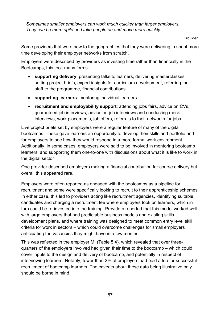*Sometimes smaller employers can work much quicker than larger employers. They can be more agile and take people on and move more quickly.*

Provider

Some providers that were new to the geographies that they were delivering in spent more time developing their employer networks from scratch.

Employers were described by providers as investing time rather than financially in the Bootcamps, this took many forms:

- **supporting delivery**: presenting talks to learners, delivering masterclasses, setting project briefs, expert insights for curriculum development, referring their staff to the programme, financial contributions
- **supporting learners**: mentoring individual learners
- **recruitment and employability support**: attending jobs fairs, advice on CVs, guaranteed job interviews, advice on job interviews and conducting mock interviews, work placements, job offers, referrals to their networks for jobs.

Live project briefs set by employers were a regular feature of many of the digital bootcamps. These gave learners an opportunity to develop their skills and portfolio and for employers to see how they would respond in a more formal work environment. Additionally, in some cases, employers were said to be involved in mentoring bootcamp learners, and supporting them one-to-one with discussions about what it is like to work in the digital sector

One provider described employers making a financial contribution for course delivery but overall this appeared rare.

Employers were often reported as engaged with the bootcamps as a pipeline for recruitment and some were specifically looking to recruit to their apprenticeship schemes. In either case, this led to providers acting like recruitment agencies, identifying suitable candidates and charging a recruitment fee where employers took on learners, which in turn could be re-invested into the training. Providers reported that this model worked well with large employers that had predictable business models and existing skills development plans, and where training was designed to meet common entry level skill criteria for work in sectors – which could overcome challenges for small employers anticipating the vacancies they might have in a few months.

This was reflected in the employer MI (Table 5.4), which revealed that over threequarters of the employers involved had given their time to the bootcamp – which could cover inputs to the design and delivery of bootcamp, and potentially in respect of interviewing learners. Notably, fewer than 2% of employers had paid a fee for successful recruitment of bootcamp learners. The caveats about these data being illustrative only should be borne in mind.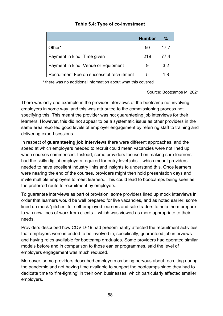#### **Table 5.4: Type of co-investment**

|                                           | <b>Number</b> | $\%$ |
|-------------------------------------------|---------------|------|
| Other*                                    | 50            | 17.7 |
| Payment in kind: Time given               | 219           | 77.4 |
| Payment in kind: Venue or Equipment       | 9             | 3.2  |
| Recruitment Fee on successful recruitment | 5             | 1 8  |

\* there was no additional information about what this covered

Source: Bootcamps MI 2021

There was only one example in the provider interviews of the bootcamp not involving employers in some way, and this was attributed to the commissioning process not specifying this. This meant the provider was not guaranteeing job interviews for their learners. However, this did not appear to be a systematic issue as other providers in the same area reported good levels of employer engagement by referring staff to training and delivering expert sessions.

In respect of **guaranteeing job interviews** there were different approaches, and the speed at which employers needed to recruit could mean vacancies were not lined up when courses commenced. Instead, some providers focused on making sure learners had the skills digital employers required for entry level jobs – which meant providers needed to have excellent industry links and insights to understand this. Once learners were nearing the end of the courses, providers might then hold presentation days and invite multiple employers to meet learners. This could lead to bootcamps being seen as the preferred route to recruitment by employers.

To guarantee interviews as part of provision, some providers lined up mock interviews in order that learners would be well prepared for live vacancies, and as noted earlier, some lined up mock 'pitches' for self-employed learners and sole-traders to help them prepare to win new lines of work from clients – which was viewed as more appropriate to their needs.

Providers described how COVID-19 had predominantly affected the recruitment activities that employers were intended to be involved in; specifically, guaranteed job interviews and having roles available for bootcamp graduates. Some providers had operated similar models before and in comparison to those earlier programmes, said the level of employers engagement was much reduced.

Moreover, some providers described employers as being nervous about recruiting during the pandemic and not having time available to support the bootcamps since they had to dedicate time to 'fire-fighting' in their own businesses, which particularly affected smaller employers.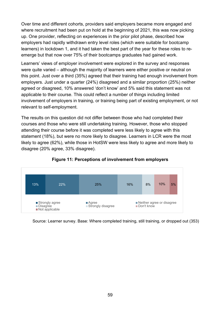Over time and different cohorts, providers said employers became more engaged and where recruitment had been put on hold at the beginning of 2021, this was now picking up. One provider, reflecting on experiences in the prior pilot phase, described how employers had rapidly withdrawn entry level roles (which were suitable for bootcamp learners) in lockdown 1, and it had taken the best part of the year for these roles to reemerge but that now over 75% of their bootcamps graduates had gained work.

Learners' views of employer involvement were explored in the survey and responses were quite varied – although the majority of learners were either positive or neutral on this point. Just over a third (35%) agreed that their training had enough involvement from employers. Just under a quarter (24%) disagreed and a similar proportion (25%) neither agreed or disagreed, 10% answered 'don't know' and 5% said this statement was not applicable to their course. This could reflect a number of things including limited involvement of employers in training, or training being part of existing employment, or not relevant to self-employment.

The results on this question did not differ between those who had completed their courses and those who were still undertaking training. However, those who stopped attending their course before it was completed were less likely to agree with this statement (18%), but were no more likely to disagree. Learners in LCR were the most likely to agree (62%), while those in HotSW were less likely to agree and more likely to disagree (20% agree, 33% disagree).



#### **Figure 11: Perceptions of involvement from employers**

Source: Learner survey. Base: Where completed training, still training, or dropped out (353)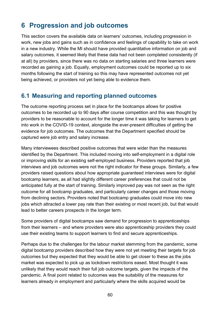# **6 Progression and job outcomes**

This section covers the available data on learners' outcomes, including progression in work, new jobs and gains such as in confidence and feelings of capability to take on work in a new industry. While the MI should have provided quantitative information on job and salary outcomes, it seemed likely that these data had not been completed consistently (if at all) by providers, since there was no data on starting salaries and three learners were recorded as gaining a job. Equally, employment outcomes could be reported up to six months following the start of training so this may have represented outcomes not yet being achieved, or providers not yet being able to evidence them.

### **6.1 Measuring and reporting planned outcomes**

The outcome reporting process set in place for the bootcamps allows for positive outcomes to be recorded up to 90 days after course competition and this was thought by providers to be reasonable to account for the longer time it was taking for learners to get into work in the COVID-19 context, alongside the ever-present difficulties of getting the evidence for job outcomes. The outcomes that the Department specified should be captured were job entry and salary increase.

Many interviewees described positive outcomes that were wider than the measures identified by the Department. This included moving into self-employment in a digital role or improving skills for an existing self-employed business. Providers reported that job interviews and job outcomes were not the right indicator for these groups. Similarly, a few providers raised questions about how appropriate guaranteed interviews were for digital bootcamp learners, as all had slightly different career preferences that could not be anticipated fully at the start of training. Similarly improved pay was not seen as the right outcome for all bootcamp graduates, and particularly career changes and those moving from declining sectors. Providers noted that bootcamp graduates could move into new jobs which attracted a lower pay rate than their existing or most recent job, but that would lead to better careers prospects in the longer term.

Some providers of digital bootcamps saw demand for progression to apprenticeships from their learners – and where providers were also apprenticeship providers they could use their existing teams to support learners to find and secure apprenticeships.

Perhaps due to the challenges for the labour market stemming from the pandemic, some digital bootcamp providers described how they were not yet meeting their targets for job outcomes but they expected that they would be able to get closer to these as the jobs market was expected to pick up as lockdown restrictions eased. Most thought it was unlikely that they would reach their full job outcome targets, given the impacts of the pandemic. A final point related to outcomes was the suitability of the measures for learners already in employment and particularly where the skills acquired would be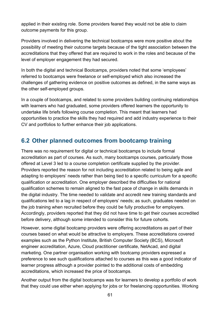applied in their existing role. Some providers feared they would not be able to claim outcome payments for this group.

Providers involved in delivering the technical bootcamps were more positive about the possibility of meeting their outcome targets because of the tight association between the accreditations that they offered that are required to work in the roles and because of the level of employer engagement they had secured.

In both the digital and technical Bootcamps, providers noted that some 'employees' referred to bootcamps were freelance or self-employed which also increased the challenges of gathering evidence on positive outcomes as defined, in the same ways as the other self-employed groups.

In a couple of bootcamps, and related to some providers building continuing relationships with learners who had graduated, some providers offered learners the opportunity to undertake life briefs following course completion. This meant that learners had opportunities to practice the skills they had required and add industry experience to their CV and portfolios to further enhance their job applications.

### **6.2 Other planned outcomes from bootcamp training**

There was no requirement for digital or technical bootcamps to include formal accreditation as part of courses. As such, many bootcamps courses, particularly those offered at Level 3 led to a course completion certificate supplied by the provider. Providers reported the reason for not including accreditation related to being agile and adapting to employers' needs rather than being tied to a specific curriculum for a specific qualification or accreditation. One employer described the difficulties for national qualification schemes to remain aligned to the fast pace of change in skills demands in the digital industry. The time needed to validate and accredit new training standards and qualifications led to a lag in respect of employers' needs; as such, graduates needed on the job training when recruited before they could be fully productive for employers. Accordingly, providers reported that they did not have time to get their courses accredited before delivery, although some intended to consider this for future cohorts.

However, some digital bootcamp providers were offering accreditations as part of their courses based on what would be attractive to employers. These accreditations covered examples such as the Python Institute, British Computer Society (BCS), Microsoft engineer accreditation, Azure, Cloud practitioner certificate, NetAcad, and digital marketing. One partner organisation working with bootcamp providers expressed a preference to see such qualifications attached to courses as this was a good indicator of learner progress although a provider pointed to the additional costs of embedding accreditations, which increased the price of bootcamps.

Another output from the digital bootcamps was for learners to develop a portfolio of work that they could use either when applying for jobs or for freelancing opportunities. Working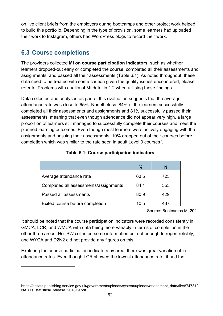on live client briefs from the employers during bootcamps and other project work helped to build this portfolio. Depending in the type of provision, some learners had uploaded their work to Instagram, others had WordPress blogs to record their work.

## **6.3 Course completions**

7

The providers collected **MI on course participation indicators**, such as whether learners dropped-out early or completed the course, completed all their assessments and assignments, and passed all their assessments (Table 6.1). As noted throughout, these data need to be treated with some caution given the quality issues encountered, please refer to 'Problems with quality of MI data' in 1.2 when utilising these findings.

Data collected and analysed as part of this evaluation suggests that the average attendance rate was close to 65%. Nonetheless, 84% of the learners successfully completed all their assessments and assignments and 81% successfully passed their assessments, meaning that even though attendance did not appear very high, a large proportion of learners still managed to successfully complete their courses and meet the planned learning outcomes. Even though most learners were actively engaging with the assignments and passing their assessments, 10% dropped out of their courses before completion which was similar to the rate seen in adult Level 3 courses<sup>[7](#page-61-0)</sup>.

|                                       | $\%$ | N               |
|---------------------------------------|------|-----------------|
| Average attendance rate               | 63.5 | 725             |
| Completed all assessments/assignments | 84.1 | 555             |
| Passed all assessments                | 80.9 | 429             |
| Exited course before completion       | 10.5 | 43 <sub>1</sub> |

#### **Table 6.1: Course participation indicators**

Source: Bootcamps MI 2021

It should be noted that the course participation indicators were recorded consistently in GMCA; LCR; and WMCA with data being more variably in terms of completion in the other three areas. HoTSW collected some information but not enough to report reliably, and WYCA and D2N2 did not provide any figures on this.

Exploring the course participation indicators by area, there was great variation of in attendance rates. Even though LCR showed the lowest attendance rate, it had the

<span id="page-61-0"></span>https://assets.publishing.service.gov.uk/government/uploads/system/uploads/attachment\_data/file/874731/ NARTs statistical release 201819.pdf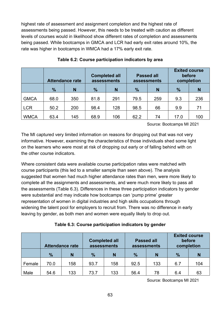highest rate of assessment and assignment completion and the highest rate of assessments being passed. However, this needs to be treated with caution as different levels of courses would in likelihood show different rates of completion and assessments being passed. While bootcamps in GMCA and LCR had early exit rates around 10%, the rate was higher in bootcamps in WMCA had a 17% early exit rate.

|             | <b>Attendance rate</b> |     | <b>Completed all</b><br>assessments |     |                    | <b>Passed all</b><br>assessments | <b>Exited course</b><br>before<br>completion |     |
|-------------|------------------------|-----|-------------------------------------|-----|--------------------|----------------------------------|----------------------------------------------|-----|
|             | $\frac{9}{6}$          | N   | $\frac{1}{2}$<br>N                  |     | $\frac{9}{6}$<br>N |                                  | $\frac{9}{6}$                                | N   |
| <b>GMCA</b> | 68.0                   | 350 | 81.8                                | 291 | 79.5               | 259                              | 9.3                                          | 236 |
| <b>LCR</b>  | 50.2                   | 200 | 98.4                                | 128 | 98.5               | 66                               | 9.9                                          | 71  |
| <b>WMCA</b> | 63.4                   | 145 | 68.9                                | 106 | 62.2               | 74                               | 17.0                                         | 100 |

#### **Table 6.2: Course participation indicators by area**

Source: Bootcamps MI 2021

The MI captured very limited information on reasons for dropping out that was not very informative. However, examining the characteristics of those individuals shed some light on the learners who were most at risk of dropping out early or of falling behind with on the other course indicators.

Where consistent data were available course participation rates were matched with course participants (this led to a smaller sample than seen above). The analysis suggested that women had much higher attendance rates than men, were more likely to complete all the assignments and assessments, and were much more likely to pass all the assessments (Table 6.3). Differences in these three participation indicators by gender were substantial and may indicate how bootcamps can 'pump prime' greater representation of women in digital industries and high skills occupations through widening the talent pool for employers to recruit from. There was no difference in early leaving by gender, as both men and women were equally likely to drop out.

| Table 6.3: Course participation indicators by gender |
|------------------------------------------------------|
|------------------------------------------------------|

|        | <b>Attendance rate</b> |     |               |     | <b>Completed all</b><br>assessments |     | <b>Passed all</b><br>assessments |     | <b>Exited course</b><br>before<br>completion |  |
|--------|------------------------|-----|---------------|-----|-------------------------------------|-----|----------------------------------|-----|----------------------------------------------|--|
|        | $\%$                   | N   | $\frac{0}{0}$ | N   | $\%$                                | N   | $\%$                             | N   |                                              |  |
| Female | 70.0                   | 158 | 93.7          | 158 | 92.5                                | 133 | 6.7                              | 104 |                                              |  |
| Male   | 54.6                   | 133 | 73.7          | 133 | 56.4                                | 78  | 6.4                              | 63  |                                              |  |

Source: Bootcamps MI 2021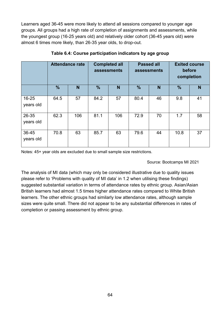Learners aged 36-45 were more likely to attend all sessions compared to younger age groups. All groups had a high rate of completion of assignments and assessments, while the youngest group (16-25 years old) and relatively older cohort (36-45 years old) were almost 6 times more likely, than 26-35 year olds, to drop-out.

|                        | <b>Attendance rate</b> |     | <b>Completed all</b><br>assessments |     | <b>Passed all</b><br>assessments |    | <b>Exited course</b><br>before<br>completion |    |
|------------------------|------------------------|-----|-------------------------------------|-----|----------------------------------|----|----------------------------------------------|----|
|                        | $\frac{9}{6}$          | N   | $\%$                                | N   | $\%$                             | N  | $\frac{9}{6}$                                | N  |
| $16 - 25$<br>years old | 64.5                   | 57  | 84.2                                | 57  | 80.4                             | 46 | 9.8                                          | 41 |
| 26-35<br>years old     | 62.3                   | 106 | 81.1                                | 106 | 72.9                             | 70 | 1.7                                          | 58 |
| 36-45<br>years old     | 70.8                   | 63  | 85.7                                | 63  | 79.6                             | 44 | 10.8                                         | 37 |

**Table 6.4: Course participation indicators by age group**

Notes: 45+ year olds are excluded due to small sample size restrictions.

Source: Bootcamps MI 2021

The analysis of MI data (which may only be considered illustrative due to quality issues please refer to 'Problems with quality of MI data' in 1.2 when utilising these findings) suggested substantial variation in terms of attendance rates by ethnic group. Asian/Asian British learners had almost 1.5 times higher attendance rates compared to White British learners. The other ethnic groups had similarly low attendance rates, although sample sizes were quite small. There did not appear to be any substantial differences in rates of completion or passing assessment by ethnic group.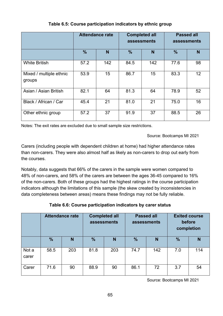|                                   | <b>Attendance rate</b> |     | <b>Completed all</b> | assessments | <b>Passed all</b><br>assessments |    |
|-----------------------------------|------------------------|-----|----------------------|-------------|----------------------------------|----|
|                                   | $\frac{9}{6}$          | N   | $\frac{9}{6}$        | N           | $\frac{0}{0}$                    | N  |
| <b>White British</b>              | 57.2                   | 142 | 84.5                 | 142         | 77.6                             | 98 |
| Mixed / multiple ethnic<br>groups | 53.9                   | 15  | 86.7                 | 15          | 83.3                             | 12 |
| Asian / Asian British             | 82.1                   | 64  | 81.3                 | 64          | 78.9                             | 52 |
| Black / African / Car             | 45.4                   | 21  | 81.0                 | 21          | 75.0                             | 16 |
| Other ethnic group                | 57.2                   | 37  | 91.9                 | 37          | 88.5                             | 26 |

#### **Table 6.5: Course participation indicators by ethnic group**

Notes: The exit rates are excluded due to small sample size restrictions.

Source: Bootcamps MI 2021

Carers (including people with dependent children at home) had higher attendance rates than non-carers. They were also almost half as likely as non-carers to drop out early from the courses.

Notably, data suggests that 66% of the carers in the sample were women compared to 48% of non-carers, and 58% of the carers are between the ages 36-45 compared to 16% of the non-carers. Both of these groups had the highest ratings in the course participation indicators although the limitations of this sample (the skew created by inconsistencies in data completeness between areas) means these findings may not be fully reliable.

|  | Table 6.6: Course participation indicators by carer status |  |  |
|--|------------------------------------------------------------|--|--|
|--|------------------------------------------------------------|--|--|

|                | <b>Attendance rate</b> |     | <b>Completed all</b><br>assessments |     | <b>Passed all</b><br>assessments |     | <b>Exited course</b><br>before<br>completion |     |
|----------------|------------------------|-----|-------------------------------------|-----|----------------------------------|-----|----------------------------------------------|-----|
|                | %                      | N   | $\frac{9}{6}$                       | N   | $\frac{1}{2}$                    | N   | $\frac{9}{6}$                                | N   |
| Not a<br>carer | 58.5                   | 203 | 81.8                                | 203 | 74.7                             | 142 | 7.0                                          | 114 |
| Carer          | 71.6                   | 90  | 88.9                                | 90  | 86.1                             | 72  | 3.7                                          | 54  |

Source: Bootcamps MI 2021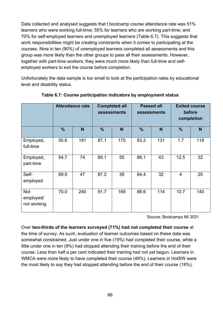Data collected and analysed suggests that t bootcamp course attendance rate was 51% learners who were working full-time; 55% for learners who are working part-time; and 70% for self-employed learners and unemployed learners (Table 6.7). This suggests that work responsibilities might be creating constraints when it comes to participating at the courses. Nine in ten (90%) of unemployed learners completed all assessments and this group was more likely than the other groups to pass all their assessments. However, together with part-time workers, they were much more likely than full-time and selfemployed workers to exit the course before completion.

Unfortunately the data sample is too small to look at the participation rates by educational level and disability status.

|                                        | <b>Attendance rate</b> |     | <b>Completed all</b><br>assessments |     | <b>Passed all</b><br>assessments |     | <b>Exited course</b><br>before<br>completion |     |
|----------------------------------------|------------------------|-----|-------------------------------------|-----|----------------------------------|-----|----------------------------------------------|-----|
|                                        | $\%$                   | N   | $\frac{9}{6}$                       | N   | $\frac{9}{6}$                    | N   | $\frac{9}{6}$                                | N   |
| Employed,<br>full-time                 | 50.6                   | 191 | 87.1                                | 170 | 83.2                             | 131 | 1.7                                          | 118 |
| Employed,<br>part-time                 | 54.7                   | 74  | 89.1                                | 55  | 86.1                             | 43  | 12.5                                         | 32  |
| Self-<br>employed                      | 69.9                   | 47  | 87.2                                | 39  | 84.4                             | 32  | $\overline{4}$                               | 25  |
| <b>Not</b><br>employed/<br>not working | 70.0                   | 240 | 91.7                                | 169 | 88.6                             | 114 | 10.7                                         | 140 |

#### **Table 6.7: Course participation indicators by employment status**

Source: Bootcamps MI 2021

Over **two-thirds of the learners surveyed (71%) had not completed their course** at

the time of survey. As such, evaluation of learner outcomes based on these data was somewhat constrained. Just under one in five (19%) had completed their course, while a little under one in ten (9%) had stopped attending their training before the end of their course. Less than half a per cent indicated their training had not yet begun. Learners in WMCA were more likely to have completed their course (49%). Learners in HotSW were the most likely to say they had stopped attending before the end of their course (18%).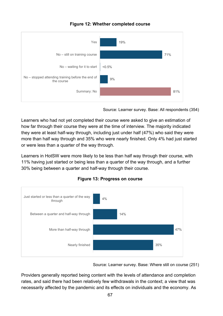#### **Figure 12: Whether completed course**



Source: Learner survey. Base: All respondents (354)

Learners who had not yet completed their course were asked to give an estimation of how far through their course they were at the time of interview. The majority indicated they were at least half-way through, including just under half (47%) who said they were more than half way through and 35% who were nearly finished. Only 4% had just started or were less than a quarter of the way through.

Learners in HotSW were more likely to be less than half way through their course, with 11% having just started or being less than a quarter of the way through, and a further 30% being between a quarter and half-way through their course.



**Figure 13: Progress on course**

Source: Learner survey. Base: Where still on course (251)

Providers generally reported being content with the levels of attendance and completion rates, and said there had been relatively few withdrawals in the context; a view that was necessarily affected by the pandemic and its effects on individuals and the economy. As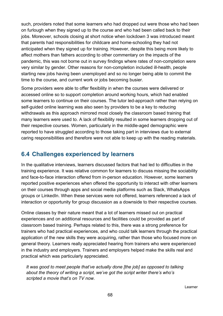such, providers noted that some learners who had dropped out were those who had been on furlough when they signed up to the course and who had been called back to their jobs. Moreover, schools closing at short notice when lockdown 3 was introduced meant that parents had responsibilities for childcare and home-schooling they had not anticipated when they signed up for training. However, despite this being more likely to affect mothers than fathers according to other commentary on the impacts of the pandemic, this was not borne out in survey findings where rates of non-completion were very similar by gender. Other reasons for non-completion included ill-health, people starting new jobs having been unemployed and so no longer being able to commit the time to the course, and current work or jobs becoming busier.

Some providers were able to offer flexibility in when the courses were delivered or accessed online so to support completion around working hours, which had enabled some learners to continue on their courses. The tutor led-approach rather than relying on self-guided online learning was also seen by providers to be a key to reducing withdrawals as this approach mirrored most closely the classroom based training that many learners were used to. A lack of flexibility resulted in some learners dropping out of their respective courses. Women, particularly in the middle-aged demographic were reported to have struggled according to those taking part in interviews due to external caring responsibilities and therefore were not able to keep up with the reading materials.

### **6.4 Challenges experienced by learners**

In the qualitative interviews, learners discussed factors that had led to difficulties in the training experience. It was relative common for learners to discuss missing the sociability and face-to-face interaction offered from in-person education. However, some learners reported positive experiences when offered the opportunity to interact with other learners on their courses through apps and social media platforms such as Slack, WhatsApps groups or LinkedIn. When these services were not offered, learners referenced a lack of interaction or opportunity for group discussion as a downside to their respective courses.

Online classes by their nature meant that a lot of learners missed out on practical experiences and on additional resources and facilities could be provided as part of classroom based training. Perhaps related to this, there was a strong preference for trainers who had practical experiences, and who could talk learners through the practical application of the new skills they were acquiring, rather than those who focused more on general theory. Learners really appreciated hearing from trainers who were experienced in the industry and employers. Trainers and employers helped make the skills real and practical which was particularly appreciated.

*It was good to meet people that've actually done [the job] as opposed to talking about the theory of writing a script, we've got the script writer there's who's scripted a movie that's on TV now.*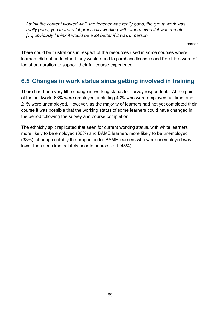*I think the content worked well, the teacher was really good, the group work was really good, you learnt a lot practically working with others even if it was remote […] obviously I think it would be a lot better if it was in person*

Learner

There could be frustrations in respect of the resources used in some courses where learners did not understand they would need to purchase licenses and free trials were of too short duration to support their full course experience.

## **6.5 Changes in work status since getting involved in training**

There had been very little change in working status for survey respondents. At the point of the fieldwork, 63% were employed, including 43% who were employed full-time, and 21% were unemployed. However, as the majority of learners had not yet completed their course it was possible that the working status of some learners could have changed in the period following the survey and course completion.

The ethnicity split replicated that seen for current working status, with white learners more likely to be employed (66%) and BAME learners more likely to be unemployed (33%), although notably the proportion for BAME learners who were unemployed was lower than seen immediately prior to course start (43%).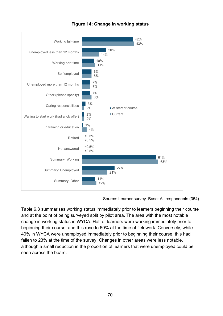

**Figure 14: Change in working status**

Source: Learner survey. Base: All respondents (354)

Table 6.8 summarises working status immediately prior to learners beginning their course and at the point of being surveyed split by pilot area. The area with the most notable change in working status in WYCA. Half of learners were working immediately prior to beginning their course, and this rose to 60% at the time of fieldwork. Conversely, while 40% in WYCA were unemployed immediately prior to beginning their course, this had fallen to 23% at the time of the survey. Changes in other areas were less notable. although a small reduction in the proportion of learners that were unemployed could be seen across the board.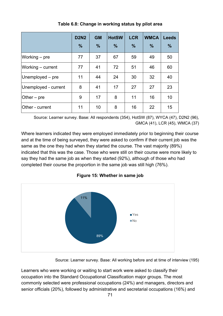|                        | <b>D2N2</b>   | <b>GM</b> | <b>HotSW</b>  | <b>LCR</b>    | <b>WMCA</b>   | <b>Leeds</b>  |
|------------------------|---------------|-----------|---------------|---------------|---------------|---------------|
|                        | $\frac{9}{6}$ | $\%$      | $\frac{9}{6}$ | $\frac{9}{6}$ | $\frac{9}{6}$ | $\frac{9}{6}$ |
| Working – pre          | 77            | 37        | 67            | 59            | 49            | 50            |
| Working - current      | 77            | 41        | 72            | 51            | 46            | 60            |
| $Unemployd - pre$      | 11            | 44        | 24            | 30            | 32            | 40            |
| Unemployed - current   | 8             | 41        | 17            | 27            | 27            | 23            |
| Other $-$ pre          | 9             | 17        | 8             | 11            | 16            | 10            |
| <b>Other</b> - current | 11            | 10        | 8             | 16            | 22            | 15            |

**Table 6.8: Change in working status by pilot area**

Source: Learner survey. Base: All respondents (354), HotSW (87), WYCA (47), D2N2 (96), GMCA (41), LCR (45), WMCA (37)

Where learners indicated they were employed immediately prior to beginning their course and at the time of being surveyed, they were asked to confirm if their current job was the same as the one they had when they started the course. The vast majority (89%) indicated that this was the case. Those who were still on their course were more likely to say they had the same job as when they started (92%), although of those who had completed their course the proportion in the same job was still high (76%).



**Figure 15: Whether in same job**

Source: Learner survey. Base: All working before and at time of interview (195)

Learners who were working or waiting to start work were asked to classify their occupation into the Standard Occupational Classification major groups. The most commonly selected were professional occupations (24%) and managers, directors and senior officials (20%), followed by administrative and secretarial occupations (16%) and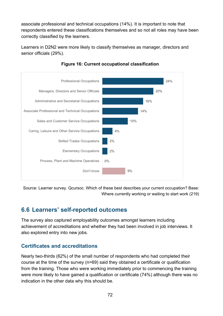associate professional and technical occupations (14%). It is important to note that respondents entered these classifications themselves and so not all roles may have been correctly classified by the learners.

Learners in D2N2 were more likely to classify themselves as manager, directors and senior officials (29%).



**Figure 16: Current occupational classification**

Source: Learner survey. Qcursoc. Which of these best describes your current occupation? Base: Where currently working or waiting to start work (219)

### **6.6 Learners' self-reported outcomes**

The survey also captured employability outcomes amongst learners including achievement of accreditations and whether they had been involved in job interviews. It also explored entry into new jobs.

### **Certificates and accreditations**

Nearly two-thirds (62%) of the small number of respondents who had completed their course at the time of the survey (n=69) said they obtained a certificate or qualification from the training. Those who were working immediately prior to commencing the training were more likely to have gained a qualification or certificate (74%) although there was no indication in the other data why this should be.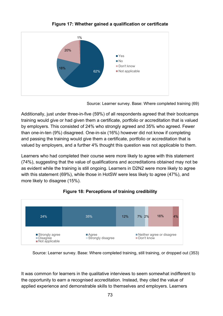

**Figure 17: Whether gained a qualification or certificate**

Source: Learner survey. Base: Where completed training (69)

Additionally, just under three-in-five (59%) of all respondents agreed that their bootcamps training would give or had given them a certificate, portfolio or accreditation that is valued by employers. This consisted of 24% who strongly agreed and 35% who agreed. Fewer than one-in-ten (9%) disagreed. One-in-six (16%) however did not know if completing and passing the training would give them a certificate, portfolio or accreditation that is valued by employers, and a further 4% thought this question was not applicable to them.

Learners who had completed their course were more likely to agree with this statement (74%), suggesting that the value of qualifications and accreditations obtained may not be as evident while the training is still ongoing. Learners in D2N2 were more likely to agree with this statement (69%), while those in HotSW were less likely to agree (47%), and more likely to disagree (15%).



#### **Figure 18: Perceptions of training credibility**

Source: Learner survey. Base: Where completed training, still training, or dropped out (353)

It was common for learners in the qualitative interviews to seem somewhat indifferent to the opportunity to earn a recognised accreditation. Instead, they cited the value of applied experience and demonstrable skills to themselves and employers. Learners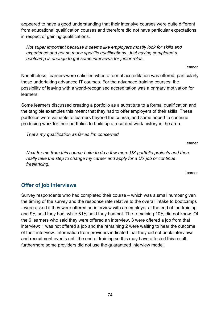appeared to have a good understanding that their intensive courses were quite different from educational qualification courses and therefore did not have particular expectations in respect of gaining qualifications.

*Not super important because it seems like employers mostly look for skills and experience and not so much specific qualifications. Just having completed a bootcamp is enough to get some interviews for junior roles.* 

Learner

Nonetheless, learners were satisfied when a formal accreditation was offered, particularly those undertaking advanced IT courses. For the advanced training courses, the possibility of leaving with a world-recognised accreditation was a primary motivation for learners.

Some learners discussed creating a portfolio as a substitute to a formal qualification and the tangible examples this meant that they had to offer employers of their skills. These portfolios were valuable to learners beyond the course, and some hoped to continue producing work for their portfolios to build up a recorded work history in the area.

*That's my qualification as far as I'm concerned.* 

Learner

*Next for me from this course I aim to do a few more UX portfolio projects and then really take the step to change my career and apply for a UX job or continue freelancing.* 

Learner

### **Offer of job interviews**

Survey respondents who had completed their course – which was a small number given the timing of the survey and the response rate relative to the overall intake to bootcamps - were asked if they were offered an interview with an employer at the end of the training and 9% said they had, while 81% said they had not. The remaining 10% did not know. Of the 6 learners who said they were offered an interview, 3 were offered a job from that interview; 1 was not offered a job and the remaining 2 were waiting to hear the outcome of their interview. Information from providers indicated that they did not book interviews and recruitment events until the end of training so this may have affected this result, furthermore some providers did not use the guaranteed interview model.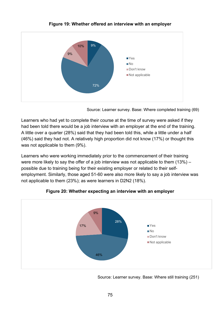

**Figure 19: Whether offered an interview with an employer**

Source: Learner survey. Base: Where completed training (69)

Learners who had yet to complete their course at the time of survey were asked if they had been told there would be a job interview with an employer at the end of the training. A little over a quarter (28%) said that they had been told this, while a little under a half (46%) said they had not. A relatively high proportion did not know (17%) or thought this was not applicable to them (9%).

Learners who were working immediately prior to the commencement of their training were more likely to say the offer of a job interview was not applicable to them (13%) – possible due to training being for their existing employer or related to their selfemployment. Similarly, those aged 51-60 were also more likely to say a job interview was not applicable to them (23%); as were learners in D2N2 (18%).



**Figure 20: Whether expecting an interview with an employer**

Source: Learner survey. Base: Where still training (251)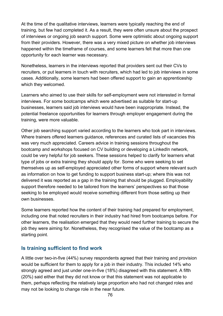At the time of the qualitative interviews, learners were typically reaching the end of training, but few had completed it. As a result, they were often unsure about the prospect of interviews or ongoing job search support. Some were optimistic about ongoing support from their providers. However, there was a very mixed picture on whether job interviews happened within the timeframe of courses, and some learners felt that more than one opportunity for each learner was necessary.

Nonetheless, learners in the interviews reported that providers sent out their CVs to recruiters, or put learners in touch with recruiters, which had led to job interviews in some cases. Additionally, some learners had been offered support to gain an apprenticeship which they welcomed.

Learners who aimed to use their skills for self-employment were not interested in formal interviews. For some bootcamps which were advertised as suitable for start-up businesses, learners said job interviews would have been inappropriate. Instead, the potential freelance opportunities for learners through employer engagement during the training, were more valuable.

Other job searching support varied according to the learners who took part in interviews. Where trainers offered learners guidance, references and curated lists of vacancies this was very much appreciated. Careers advice in training sessions throughout the bootcamp and workshops focused on CV building or developing a LinkedIn network, could be very helpful for job seekers. These sessions helped to clarify for learners what type of jobs or extra training they should apply for. Some who were seeking to set themselves up as self-employed appreciated other forms of support where relevant such as information on how to get funding to support business start-up; where this was not delivered it was reported as a gap in the training that should be plugged. Employability support therefore needed to be tailored from the learners' perspectives so that those seeking to be employed would receive something different from those setting up their own businesses.

Some learners reported how the content of their training had prepared for employment, including one that noted recruiters in their industry had hired from bootcamps before. For other learners, the realisation emerged that they would need further training to secure the job they were aiming for. Nonetheless, they recognised the value of the bootcamp as a starting point.

#### **Is training sufficient to find work**

A little over two-in-five (44%) survey respondents agreed that their training and provision would be sufficient for them to apply for a job in their industry. This included 14% who strongly agreed and just under one-in-five (18%) disagreed with this statement. A fifth (20%) said either that they did not know or that this statement was not applicable to them, perhaps reflecting the relatively large proportion who had not changed roles and may not be looking to change role in the near future.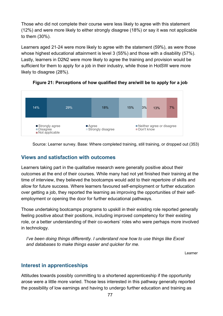Those who did not complete their course were less likely to agree with this statement (12%) and were more likely to either strongly disagree (18%) or say it was not applicable to them (30%).

Learners aged 21-24 were more likely to agree with the statement (59%), as were those whose highest educational attainment is level 3 (55%) and those with a disability (57%). Lastly, learners in D2N2 were more likely to agree the training and provision would be sufficient for them to apply for a job in their industry, while those in HotSW were more likely to disagree (28%).



**Figure 21: Perceptions of how qualified they are/will be to apply for a job**

Source: Learner survey. Base: Where completed training, still training, or dropped out (353)

### **Views and satisfaction with outcomes**

Learners taking part in the qualitative research were generally positive about their outcomes at the end of their courses. While many had not yet finished their training at the time of interview, they believed the bootcamps would add to their repertoire of skills and allow for future success. Where learners favoured self-employment or further education over getting a job, they reported the learning as improving the opportunities of their selfemployment or opening the door for further educational pathways.

Those undertaking bootcamps programs to upskill in their existing role reported generally feeling positive about their positions, including improved competency for their existing role, or a better understanding of their co-workers' roles who were perhaps more involved in technology.

*I've been doing things differently. I understand now how to use things like Excel and databases to make things easier and quicker for me.* 

Learner

#### **Interest in apprenticeships**

Attitudes towards possibly committing to a shortened apprenticeship if the opportunity arose were a little more varied. Those less interested in this pathway generally reported the possibility of low earnings and having to undergo further education and training as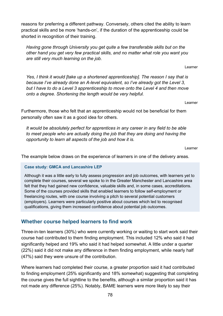reasons for preferring a different pathway. Conversely, others cited the ability to learn practical skills and be more 'hands-on', if the duration of the apprenticeship could be shorted in recognition of their training.

*Having gone through University you get quite a few transferable skills but on the other hand you get very few practical skills, and no matter what role you want you are still very much learning on the job.* 

Learner

*Yes, I think it would [take up a shortened apprenticeship]. The reason I say that is because I've already done an A-level equivalent, so I've already got the Level 3, but I have to do a Level 3 apprenticeship to move onto the Level 4 and then move onto a degree. Shortening the length would be very helpful.* 

Learner

Furthermore, those who felt that an apprenticeship would not be beneficial for them personally often saw it as a good idea for others.

*It would be absolutely perfect for apprentices in any career in any field to be able to meet people who are actually doing the job that they are doing and having the opportunity to learn all aspects of the job and how it is.*

Learner

The example below draws on the experience of learners in one of the delivery areas.

#### **Case study: GMCA and Lancashire LEP**

Although it was a little early to fully assess progression and job outcomes, with learners yet to complete their courses, several we spoke to in the Greater Manchester and Lancashire area felt that they had gained new confidence, valuable skills and, in some cases, accreditations. Some of the courses provided skills that enabled learners to follow self-employment or freelancing routes, with one course involving a pitch to several potential customers (employers). Learners were particularly positive about courses which led to recognised qualifications, giving them increased confidence about potential job outcomes.

#### **Whether course helped learners to find work**

Three-in-ten learners (30%) who were currently working or waiting to start work said their course had contributed to them finding employment. This included 12% who said it had significantly helped and 19% who said it had helped somewhat. A little under a quarter (22%) said it did not make any difference in them finding employment, while nearly half (47%) said they were unsure of the contribution.

Where learners had completed their course, a greater proportion said it had contributed to finding employment (25% significantly and 18% somewhat) suggesting that completing the course gives the full sightline to the benefits, although a similar proportion said it has not made any difference (25%). Notably, BAME learners were more likely to say their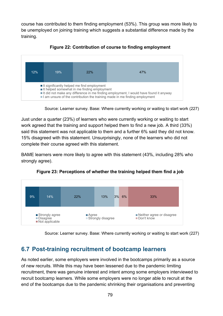course has contributed to them finding employment (53%). This group was more likely to be unemployed on joining training which suggests a substantial difference made by the training.



**Figure 22: Contribution of course to finding employment**

Source: Learner survey. Base: Where currently working or waiting to start work (227)

Just under a quarter (23%) of learners who were currently working or waiting to start work agreed that the training and support helped them to find a new job. A third (33%) said this statement was not applicable to them and a further 6% said they did not know. 15% disagreed with this statement. Unsurprisingly, none of the learners who did not complete their course agreed with this statement.

BAME learners were more likely to agree with this statement (43%, including 28% who strongly agree).



**Figure 23: Perceptions of whether the training helped them find a job**

Source: Learner survey. Base: Where currently working or waiting to start work (227)

### **6.7 Post-training recruitment of bootcamp learners**

As noted earlier, some employers were involved in the bootcamps primarily as a source of new recruits. While this may have been lessened due to the pandemic limiting recruitment, there was genuine interest and intent among some employers interviewed to recruit bootcamp learners. While some employers were no longer able to recruit at the end of the bootcamps due to the pandemic shrinking their organisations and preventing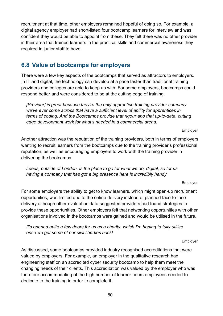recruitment at that time, other employers remained hopeful of doing so. For example, a digital agency employer had short-listed four bootcamp learners for interview and was confident they would be able to appoint from these. They felt there was no other provider in their area that trained learners in the practical skills and commercial awareness they required in junior staff to have.

# **6.8 Value of bootcamps for employers**

There were a few key aspects of the bootcamps that served as attractors to employers. In IT and digital, the technology can develop at a pace faster than traditional training providers and colleges are able to keep up with. For some employers, bootcamps could respond better and were considered to be at the cutting edge of training.

*[Provider] is great because they're the only apprentice training provider company we've ever come across that have a sufficient level of ability for apprentices in terms of coding. And the Bootcamps provide that rigour and that up-to-date, cutting edge development work for what's needed in a commercial arena.* 

Employer

Another attraction was the reputation of the training providers, both in terms of employers wanting to recruit learners from the bootcamps due to the training provider's professional reputation, as well as encouraging employers to work with the training provider in delivering the bootcamps.

*Leeds, outside of London, is the place to go for what we do, digital, so for us having a company that has got a big presence here is incredibly handy* 

Employer

For some employers the ability to get to know learners, which might open-up recruitment opportunities, was limited due to the online delivery instead of planned face-to-face delivery although other evaluation data suggested providers had found strategies to provide these opportunities. Other employers felt that networking opportunities with other organisations involved in the bootcamps were gained and would be utilised in the future.

*It's opened quite a few doors for us as a charity, which I'm hoping to fully utilise once we get some of our civil liberties back!* 

Employer

As discussed, some bootcamps provided industry recognised accreditations that were valued by employers. For example, an employer in the qualitative research had engineering staff on an accredited cyber security bootcamp to help them meet the changing needs of their clients. This accreditation was valued by the employer who was therefore accommodating of the high number of learner hours employees needed to dedicate to the training in order to complete it.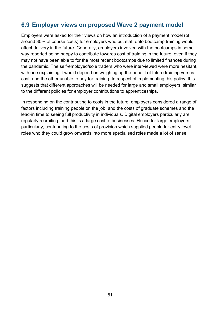# **6.9 Employer views on proposed Wave 2 payment model**

Employers were asked for their views on how an introduction of a payment model (of around 30% of course costs) for employers who put staff onto bootcamp training would affect delivery in the future. Generally, employers involved with the bootcamps in some way reported being happy to contribute towards cost of training in the future, even if they may not have been able to for the most recent bootcamps due to limited finances during the pandemic. The self-employed/sole traders who were interviewed were more hesitant, with one explaining it would depend on weighing up the benefit of future training versus cost, and the other unable to pay for training. In respect of implementing this policy, this suggests that different approaches will be needed for large and small employers, similar to the different policies for employer contributions to apprenticeships.

In responding on the contributing to costs in the future, employers considered a range of factors including training people on the job, and the costs of graduate schemes and the lead-in time to seeing full productivity in individuals. Digital employers particularly are regularly recruiting, and this is a large cost to businesses. Hence for large employers, particularly, contributing to the costs of provision which supplied people for entry level roles who they could grow onwards into more specialised roles made a lot of sense.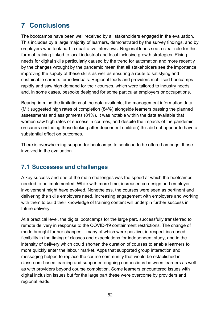# **7 Conclusions**

The bootcamps have been well received by all stakeholders engaged in the evaluation. This includes by a large majority of learners, demonstrated by the survey findings, and by employers who took part in qualitative interviews. Regional leads see a clear role for this form of training linked to local industrial and local inclusive growth strategies. Rising needs for digital skills particularly caused by the trend for automation and more recently by the changes wrought by the pandemic mean that all stakeholders see the importance improving the supply of these skills as well as ensuring a route to satisfying and sustainable careers for individuals. Regional leads and providers mobilised bootcamps rapidly and saw high demand for their courses, which were tailored to industry needs and, in some cases, bespoke designed for some particular employers or occupations.

Bearing in mind the limitations of the data available, the management information data (MI) suggested high rates of completion (84%) alongside learners passing the planned assessments and assignments (81%). It was notable within the data available that women saw high rates of success in courses, and despite the impacts of the pandemic on carers (including those looking after dependent children) this did not appear to have a substantial effect on outcomes.

There is overwhelming support for bootcamps to continue to be offered amongst those involved in the evaluation.

### **7.1 Successes and challenges**

A key success and one of the main challenges was the speed at which the bootcamps needed to be implemented. While with more time, increased co-design and employer involvement might have evolved. Nonetheless, the courses were seen as pertinent and delivering the skills employers need. Increasing engagement with employers and working with them to build their knowledge of training content will underpin further success in future delivery.

At a practical level, the digital bootcamps for the large part, successfully transferred to remote delivery in response to the COVID-19 containment restrictions. The change of mode brought further changes – many of which were positive, in respect increased flexibility in the timing of classes and expectations for independent study, and in the intensity of delivery which could shorten the duration of courses to enable learners to more quickly enter the labour market. Apps that supported group interaction and messaging helped to replace the course community that would be established in classroom-based learning and supported ongoing connections between learners as well as with providers beyond course completion. Some learners encountered issues with digital inclusion issues but for the large part these were overcome by providers and regional leads.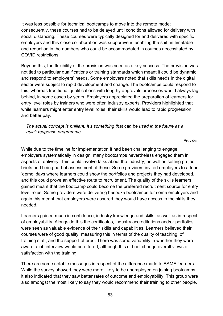It was less possible for technical bootcamps to move into the remote mode; consequently, these courses had to be delayed until conditions allowed for delivery with social distancing. These courses were typically designed for and delivered with specific employers and this close collaboration was supportive in enabling the shift in timetable and reduction in the numbers who could be accommodated in courses necessitated by COVID restrictions.

Beyond this, the flexibility of the provision was seen as a key success. The provision was not tied to particular qualifications or training standards which meant it could be dynamic and respond to employers' needs. Some employers noted that skills needs in the digital sector were subject to rapid development and change. The bootcamps could respond to this, whereas traditional qualifications with lengthy approvals processes would always lag behind, in some cases by years. Employers appreciated the preparation of learners for entry level roles by trainers who were often industry experts. Providers highlighted that while learners might enter entry level roles, their skills would lead to rapid progression and better pay.

#### *The actual concept is brilliant. It's something that can be used in the future as a quick response programme.*

Provider

While due to the timeline for implementation it had been challenging to engage employers systematically in design, many bootcamps nevertheless engaged them in aspects of delivery. This could involve talks about the industry, as well as setting project briefs and being part of assessment of these. Some providers invited employers to attend 'demo' days where learners could show the portfolios and projects they had developed, and this could prove an effective route to recruitment. The quality of the skills learners gained meant that the bootcamp could become the preferred recruitment source for entry level roles. Some providers were delivering bespoke bootcamps for some employers and again this meant that employers were assured they would have access to the skills they needed.

Learners gained much in confidence, industry knowledge and skills, as well as in respect of employability. Alongside this the certificates, industry accreditations and/or portfolios were seen as valuable evidence of their skills and capabilities. Learners believed their courses were of good quality, measuring this in terms of the quality of teaching, of training staff, and the support offered. There was some variability in whether they were aware a job interview would be offered, although this did not change overall views of satisfaction with the training.

There are some notable messages in respect of the difference made to BAME learners. While the survey showed they were more likely to be unemployed on joining bootcamps, it also indicated that they saw better rates of outcome and employability. This group were also amongst the most likely to say they would recommend their training to other people.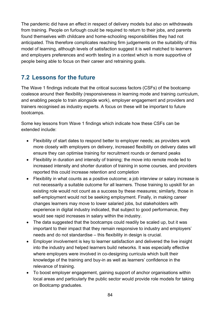The pandemic did have an effect in respect of delivery models but also on withdrawals from training. People on furlough could be required to return to their jobs, and parents found themselves with childcare and home-schooling responsibilities they had not anticipated. This therefore complicates reaching firm judgements on the suitability of this model of learning, although levels of satisfaction suggest it is well matched to learners and employers preferences and worth testing in a context which is more supportive of people being able to focus on their career and retraining goals.

# **7.2 Lessons for the future**

The Wave 1 findings indicate that the critical success factors (CSFs) of the bootcamp coalesce around their flexibility (responsiveness in learning mode and training curriculum, and enabling people to train alongside work), employer engagement and providers and trainers recognised as industry experts. A focus on these will be important to future bootcamps.

Some key lessons from Wave 1 findings which indicate how these CSFs can be extended include:

- Flexibility of start dates to respond better to employer needs; as providers work more closely with employers on delivery, increased flexibility on delivery dates will ensure they can optimise training for recruitment rounds or demand peaks
- Flexibility in duration and intensity of training; the move into remote mode led to increased intensity and shorter duration of training in some courses, and providers reported this could increase retention and completion
- Flexibility in what counts as a positive outcome; a job interview or salary increase is not necessarily a suitable outcome for all learners. Those training to upskill for an existing role would not count as a success by these measures; similarly, those in self-employment would not be seeking employment. Finally, in making career changes learners may move to lower salaried jobs, but stakeholders with experience in digital industry indicated, that subject to good performance, they would see rapid increases in salary within the industry.
- The data suggested that the bootcamps could readily be scaled up, but it was important to their impact that they remain responsive to industry and employers' needs and do not standardise – this flexibility in design is crucial.
- Employer involvement is key to learner satisfaction and delivered the live insight into the industry and helped learners build networks. It was especially effective where employers were involved in co-designing curricula which built their knowledge of the training and buy-in as well as learners' confidence in the relevance of training.
- To boost employer engagement, gaining support of anchor organisations within local areas and particularly the public sector would provide role models for taking on Bootcamp graduates.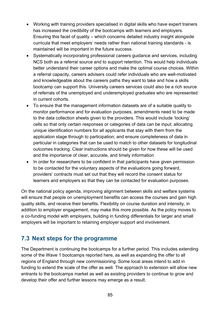- Working with training providers specialised in digital skills who have expert trainers has increased the credibility of the bootcamps with learners and employers. Ensuring this facet of quality – which concerns detailed industry insight alongside curricula that meet employers' needs rather than national training standards - is maintained will be important in the future success.
- Systematically incorporating professional careers guidance and services, including NCS both as a referral source and to support retention. This would help individuals better understand their career options and make the optimal course choices. Within a referral capacity, careers advisers could refer individuals who are well-motivated and knowledgeable about the careers paths they want to take and how a skills bootcamp can support this. University careers services could also be a rich source of referrals of the unemployed and underemployed graduates who are represented in current cohorts.
- To ensure that the management information datasets are of a suitable quality to monitor performance and for evaluation purposes, amendments need to be made to the data collection sheets given to the providers. This would include 'locking' cells so that only certain responses or categories of data can be input; allocating unique identification numbers for all applicants that stay with them from the application stage through to participation; and ensure completeness of data in particular in categories that can be used to match to other datasets for longitudinal outcomes tracking. Clear instructions should be given for how these will be used and the importance of clear, accurate, and timely information
- In order for researchers to be confident in that participants have given permission to be contacted for the voluntary aspects of the evaluations going forward, providers' contracts must set out that they will record the consent status for learners and employers so that they can be contacted for evaluation purposes.

On the national policy agenda, improving alignment between skills and welfare systems will ensure that people on unemployment benefits can access the courses and gain high quality skills, and receive their benefits. Flexibility on course duration and intensity, in addition to employer engagement, may make this more possible. As the policy moves to a co-funding model with employers, building in funding differentials for larger and small employers will be important to retaining employer support and involvement.

### **7.3 Next steps for the programme**

The Department is continuing the bootcamps for a further period. This includes extending some of the Wave 1 bootcamps reported here, as well as expanding the offer to all regions of England through new commissioning. Some local areas intend to add in funding to extend the scale of the offer as well. The approach to extension will allow new entrants to the bootcamps market as well as existing providers to continue to grow and develop their offer and further lessons may emerge as a result.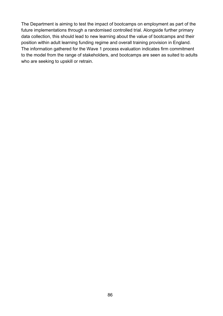The Department is aiming to test the impact of bootcamps on employment as part of the future implementations through a randomised controlled trial. Alongside further primary data collection, this should lead to new learning about the value of bootcamps and their position within adult learning funding regime and overall training provision in England. The information gathered for the Wave 1 process evaluation indicates firm commitment to the model from the range of stakeholders, and bootcamps are seen as suited to adults who are seeking to upskill or retrain.